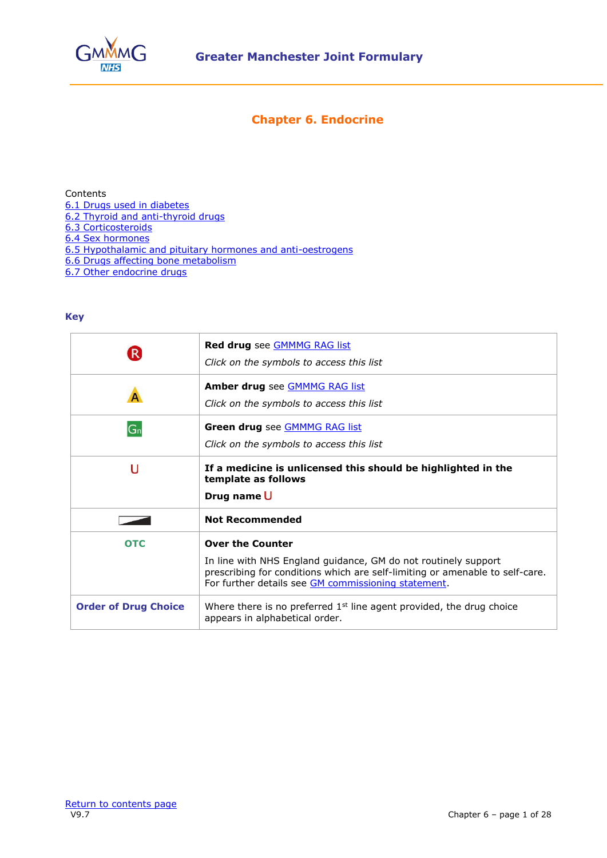

# **Chapter 6. Endocrine**

<span id="page-0-0"></span>Contents

- [6.1 Drugs used in diabetes](#page-1-0)
- [6.2 Thyroid and anti-thyroid drugs](#page-16-0)
- [6.3 Corticosteroids](#page-17-0)
- [6.4 Sex hormones](#page-18-0)
- [6.5 Hypothalamic and pituitary hormones and anti-oestrogens](#page-22-0)
- [6.6 Drugs affecting bone metabolism](#page-24-0)
- [6.7 Other endocrine drugs](#page-26-0)

# **Key**

| $\vert \mathsf{R} \vert$    | Red drug see GMMMG RAG list<br>Click on the symbols to access this list                                                                                                                                                          |
|-----------------------------|----------------------------------------------------------------------------------------------------------------------------------------------------------------------------------------------------------------------------------|
|                             | Amber drug see <b>GMMMG RAG list</b><br>Click on the symbols to access this list                                                                                                                                                 |
| $G_n$                       | Green drug see <b>GMMMG RAG list</b><br>Click on the symbols to access this list                                                                                                                                                 |
| U                           | If a medicine is unlicensed this should be highlighted in the<br>template as follows<br>Drug name U                                                                                                                              |
|                             | <b>Not Recommended</b>                                                                                                                                                                                                           |
| <b>OTC</b>                  | <b>Over the Counter</b><br>In line with NHS England guidance, GM do not routinely support<br>prescribing for conditions which are self-limiting or amenable to self-care.<br>For further details see GM commissioning statement. |
| <b>Order of Drug Choice</b> | Where there is no preferred $1st$ line agent provided, the drug choice<br>appears in alphabetical order.                                                                                                                         |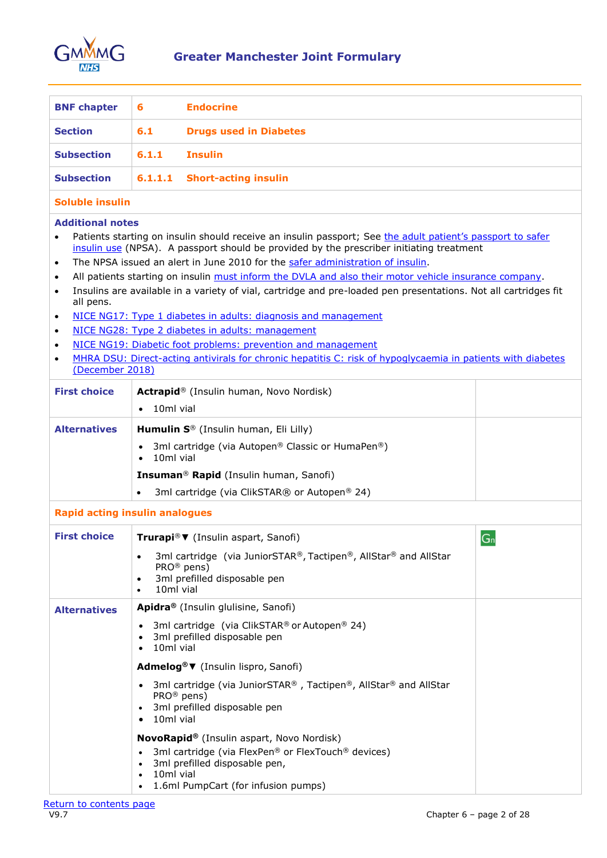

<span id="page-1-0"></span>

| <b>BNF chapter</b> | - 6   | <b>Endocrine</b>              |
|--------------------|-------|-------------------------------|
| <b>Section</b>     | 6.1   | <b>Drugs used in Diabetes</b> |
| <b>Subsection</b>  | 6.1.1 | Insulin                       |
| <b>Subsection</b>  |       | 6.1.1.1 Short-acting insulin  |

### **Soluble insulin**

- Patients starting on insulin should receive an insulin passport; See the adult patient's passport to safer [insulin use](https://webarchive.nationalarchives.gov.uk/ukgwa/20120504180435/http:/www.nrls.npsa.nhs.uk/resources/healthcare-setting/hospital-pharmacy/?entryid45=130397) (NPSA). A passport should be provided by the prescriber initiating treatment
- The NPSA issued an alert in June 2010 for the [safer administration of insulin.](https://webarchive.nationalarchives.gov.uk/ukgwa/20170906180032/http:/www.nrls.npsa.nhs.uk/alerts/?entryid45=74287&cord=DESC)
- All patients starting on insulin must inform the DVLA [and also their motor vehicle insurance company.](https://www.gov.uk/diabetes-driving)
- Insulins are available in a variety of vial, cartridge and pre-loaded pen presentations. Not all cartridges fit all pens.
- [NICE NG17: Type 1 diabetes in adults: diagnosis and management](https://www.nice.org.uk/guidance/ng17)
- [NICE NG28: Type 2 diabetes in adults: management](https://www.nice.org.uk/guidance/ng28)
- [NICE NG19: Diabetic foot problems: prevention and management](https://www.nice.org.uk/guidance/ng19)
- [MHRA DSU: Direct-acting antivirals for chronic hepatitis C: risk of hypoglycaemia in patients with diabetes](https://www.gov.uk/drug-safety-update/direct-acting-antivirals-for-chronic-hepatitis-c-risk-of-hypoglycaemia-in-patients-with-diabetes) (December 2018)

| <b>First choice</b> | Actrapid® (Insulin human, Novo Nordisk)<br>10ml vial                                                                                                                                                                                                                                                                                  |                |
|---------------------|---------------------------------------------------------------------------------------------------------------------------------------------------------------------------------------------------------------------------------------------------------------------------------------------------------------------------------------|----------------|
| <b>Alternatives</b> | Humulin S® (Insulin human, Eli Lilly)<br>3ml cartridge (via Autopen <sup>®</sup> Classic or HumaPen <sup>®</sup> )<br>10ml vial<br>Insuman <sup>®</sup> Rapid (Insulin human, Sanofi)<br>3ml cartridge (via ClikSTAR® or Autopen® 24)                                                                                                 |                |
|                     | <b>Rapid acting insulin analogues</b>                                                                                                                                                                                                                                                                                                 |                |
| <b>First choice</b> | Trurapi® ▼ (Insulin aspart, Sanofi)<br>3ml cartridge (via JuniorSTAR®, Tactipen®, AllStar® and AllStar<br>PRO <sup>®</sup> pens)<br>3ml prefilled disposable pen<br>10ml vial                                                                                                                                                         | G <sub>n</sub> |
| <b>Alternatives</b> | Apidra® (Insulin glulisine, Sanofi)<br>3ml cartridge (via ClikSTAR® or Autopen® 24)<br>3ml prefilled disposable pen<br>10ml vial                                                                                                                                                                                                      |                |
|                     | Admelog® ▼ (Insulin lispro, Sanofi)<br>3ml cartridge (via JuniorSTAR®, Tactipen®, AllStar® and AllStar<br>PRO <sup>®</sup> pens)<br>3ml prefilled disposable pen<br>10ml vial<br><b>NovoRapid®</b> (Insulin aspart, Novo Nordisk)<br>3ml cartridge (via FlexPen® or FlexTouch® devices)<br>3ml prefilled disposable pen,<br>10ml vial |                |
|                     | 1.6ml PumpCart (for infusion pumps)                                                                                                                                                                                                                                                                                                   |                |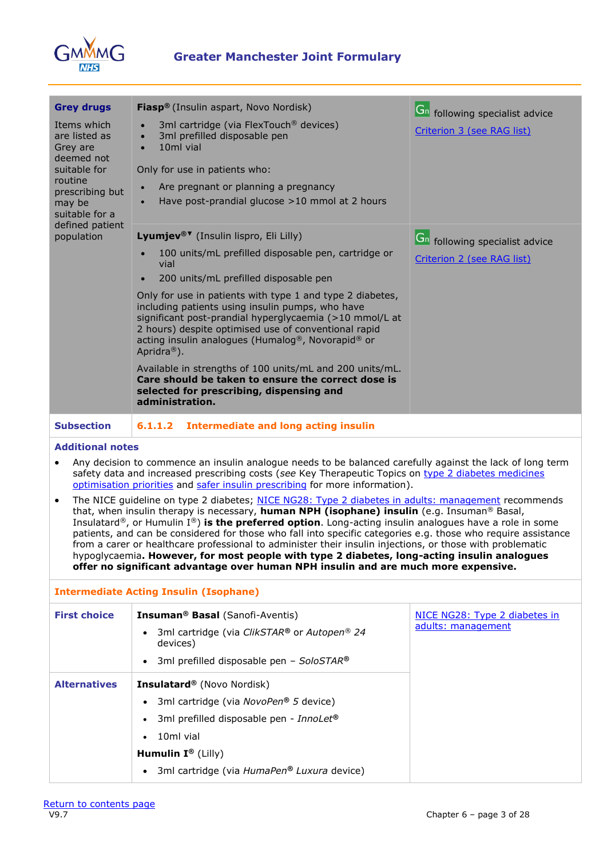

| <b>Grey drugs</b>                                                                                                                                                                                                                                                                                                                                                                                                                                                                                                                                                                                                                                                                                                                                                     | <b>Fiasp®</b> (Insulin aspart, Novo Nordisk)                                                                                                                                                                                                                                                                     | Gn following specialist advice        |  |
|-----------------------------------------------------------------------------------------------------------------------------------------------------------------------------------------------------------------------------------------------------------------------------------------------------------------------------------------------------------------------------------------------------------------------------------------------------------------------------------------------------------------------------------------------------------------------------------------------------------------------------------------------------------------------------------------------------------------------------------------------------------------------|------------------------------------------------------------------------------------------------------------------------------------------------------------------------------------------------------------------------------------------------------------------------------------------------------------------|---------------------------------------|--|
| Items which<br>are listed as<br>Grey are<br>deemed not<br>suitable for<br>routine<br>prescribing but                                                                                                                                                                                                                                                                                                                                                                                                                                                                                                                                                                                                                                                                  | 3ml cartridge (via FlexTouch <sup>®</sup> devices)<br>3ml prefilled disposable pen<br>10ml vial<br>$\bullet$<br>Only for use in patients who:<br>Are pregnant or planning a pregnancy                                                                                                                            | Criterion 3 (see RAG list)            |  |
| may be<br>suitable for a<br>defined patient                                                                                                                                                                                                                                                                                                                                                                                                                                                                                                                                                                                                                                                                                                                           | Have post-prandial glucose >10 mmol at 2 hours                                                                                                                                                                                                                                                                   |                                       |  |
| population                                                                                                                                                                                                                                                                                                                                                                                                                                                                                                                                                                                                                                                                                                                                                            | Lyumjev® <sup>▼</sup> (Insulin lispro, Eli Lilly)                                                                                                                                                                                                                                                                | <b>Gn</b> following specialist advice |  |
|                                                                                                                                                                                                                                                                                                                                                                                                                                                                                                                                                                                                                                                                                                                                                                       | 100 units/mL prefilled disposable pen, cartridge or<br>vial                                                                                                                                                                                                                                                      | Criterion 2 (see RAG list)            |  |
|                                                                                                                                                                                                                                                                                                                                                                                                                                                                                                                                                                                                                                                                                                                                                                       | 200 units/mL prefilled disposable pen<br>$\bullet$                                                                                                                                                                                                                                                               |                                       |  |
|                                                                                                                                                                                                                                                                                                                                                                                                                                                                                                                                                                                                                                                                                                                                                                       | Only for use in patients with type 1 and type 2 diabetes,<br>including patients using insulin pumps, who have<br>significant post-prandial hyperglycaemia (>10 mmol/L at<br>2 hours) despite optimised use of conventional rapid<br>acting insulin analogues (Humalog®, Novorapid® or<br>Apridra <sup>®</sup> ). |                                       |  |
|                                                                                                                                                                                                                                                                                                                                                                                                                                                                                                                                                                                                                                                                                                                                                                       | Available in strengths of 100 units/mL and 200 units/mL.<br>Care should be taken to ensure the correct dose is<br>selected for prescribing, dispensing and<br>administration.                                                                                                                                    |                                       |  |
| <b>Subsection</b>                                                                                                                                                                                                                                                                                                                                                                                                                                                                                                                                                                                                                                                                                                                                                     | <b>Intermediate and long acting insulin</b><br>6.1.1.2                                                                                                                                                                                                                                                           |                                       |  |
| <b>Additional notes</b>                                                                                                                                                                                                                                                                                                                                                                                                                                                                                                                                                                                                                                                                                                                                               |                                                                                                                                                                                                                                                                                                                  |                                       |  |
| $\bullet$                                                                                                                                                                                                                                                                                                                                                                                                                                                                                                                                                                                                                                                                                                                                                             | Any decision to commence an insulin analogue needs to be balanced carefully against the lack of long term<br>safety data and increased prescribing costs (see Key Therapeutic Topics on type 2 diabetes medicines<br>optimisation priorities and safer insulin prescribing for more information).                |                                       |  |
| The NICE guideline on type 2 diabetes; NICE NG28: Type 2 diabetes in adults: management recommends<br>$\bullet$<br>that, when insulin therapy is necessary, human NPH (isophane) insulin (e.g. Insuman® Basal,<br>Insulatard <sup>®</sup> , or Humulin I <sup>®</sup> ) is the preferred option. Long-acting insulin analogues have a role in some<br>patients, and can be considered for those who fall into specific categories e.g. those who require assistance<br>from a carer or healthcare professional to administer their insulin injections, or those with problematic<br>hypoglycaemia. However, for most people with type 2 diabetes, long-acting insulin analogues<br>offer no significant advantage over human NPH insulin and are much more expensive. |                                                                                                                                                                                                                                                                                                                  |                                       |  |
| <b>Intermediate Acting Insulin (Isophane)</b>                                                                                                                                                                                                                                                                                                                                                                                                                                                                                                                                                                                                                                                                                                                         |                                                                                                                                                                                                                                                                                                                  |                                       |  |
| <b>First choice</b>                                                                                                                                                                                                                                                                                                                                                                                                                                                                                                                                                                                                                                                                                                                                                   | <b>Insuman<sup>®</sup> Basal</b> (Sanofi-Aventis)                                                                                                                                                                                                                                                                | NICE NG28: Type 2 diabetes in         |  |
|                                                                                                                                                                                                                                                                                                                                                                                                                                                                                                                                                                                                                                                                                                                                                                       | 3ml cartridge (via ClikSTAR® or Autopen® 24<br>$\bullet$<br>devices)                                                                                                                                                                                                                                             | adults: management                    |  |
|                                                                                                                                                                                                                                                                                                                                                                                                                                                                                                                                                                                                                                                                                                                                                                       | 3ml prefilled disposable pen - SoloSTAR®<br>$\bullet$                                                                                                                                                                                                                                                            |                                       |  |
| <b>Alternatives</b>                                                                                                                                                                                                                                                                                                                                                                                                                                                                                                                                                                                                                                                                                                                                                   | Insulatard® (Novo Nordisk)                                                                                                                                                                                                                                                                                       |                                       |  |
|                                                                                                                                                                                                                                                                                                                                                                                                                                                                                                                                                                                                                                                                                                                                                                       | 3ml cartridge (via NovoPen® 5 device)                                                                                                                                                                                                                                                                            |                                       |  |
|                                                                                                                                                                                                                                                                                                                                                                                                                                                                                                                                                                                                                                                                                                                                                                       | 3ml prefilled disposable pen - InnoLet®<br>$\bullet$                                                                                                                                                                                                                                                             |                                       |  |

- 10ml vial
- **Humulin I ®** (Lilly)
	- 3ml cartridge (via *HumaPen® Luxura* device)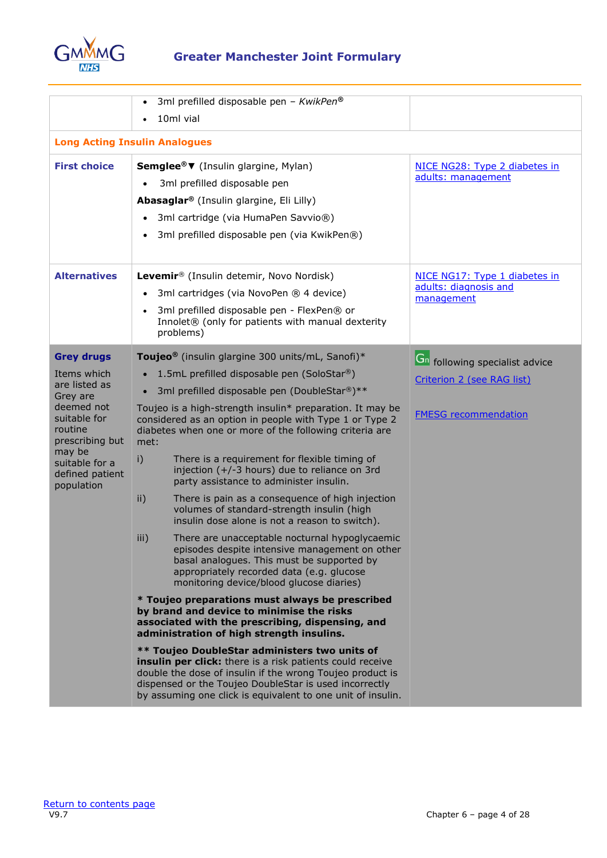

# **Greater Manchester Joint Formulary**

|                                                           | 3ml prefilled disposable pen - KwikPen®<br>$\bullet$<br>10ml vial                                                                                                                                                                                                                                |                                                        |
|-----------------------------------------------------------|--------------------------------------------------------------------------------------------------------------------------------------------------------------------------------------------------------------------------------------------------------------------------------------------------|--------------------------------------------------------|
|                                                           | <b>Long Acting Insulin Analogues</b>                                                                                                                                                                                                                                                             |                                                        |
| <b>First choice</b>                                       | Semglee®▼ (Insulin glargine, Mylan)<br>3ml prefilled disposable pen<br>Abasaglar <sup>®</sup> (Insulin glargine, Eli Lilly)<br>3ml cartridge (via HumaPen Savvio®)<br>$\bullet$<br>3ml prefilled disposable pen (via KwikPen®)                                                                   | NICE NG28: Type 2 diabetes in<br>adults: management    |
| <b>Alternatives</b>                                       | Levemir® (Insulin detemir, Novo Nordisk)                                                                                                                                                                                                                                                         | NICE NG17: Type 1 diabetes in<br>adults: diagnosis and |
|                                                           | 3ml cartridges (via NovoPen ® 4 device)<br>$\bullet$                                                                                                                                                                                                                                             | management                                             |
|                                                           | 3ml prefilled disposable pen - FlexPen® or<br>$\bullet$<br>Innolet <sup>®</sup> (only for patients with manual dexterity<br>problems)                                                                                                                                                            |                                                        |
| <b>Grey drugs</b>                                         | Toujeo <sup>®</sup> (insulin glargine 300 units/mL, Sanofi)*                                                                                                                                                                                                                                     | <b>Gn</b> following specialist advice                  |
| Items which                                               | 1.5mL prefilled disposable pen (SoloStar®)                                                                                                                                                                                                                                                       | Criterion 2 (see RAG list)                             |
| are listed as<br>Grey are                                 | 3ml prefilled disposable pen (DoubleStar®)**<br>$\bullet$                                                                                                                                                                                                                                        |                                                        |
| deemed not<br>suitable for<br>routine<br>prescribing but  | Toujeo is a high-strength insulin* preparation. It may be<br>considered as an option in people with Type 1 or Type 2<br>diabetes when one or more of the following criteria are<br>met:                                                                                                          | <b>FMESG</b> recommendation                            |
| may be<br>suitable for a<br>defined patient<br>population | There is a requirement for flexible timing of<br>i)<br>injection (+/-3 hours) due to reliance on 3rd<br>party assistance to administer insulin.                                                                                                                                                  |                                                        |
|                                                           | $\mathsf{ii}$ )<br>There is pain as a consequence of high injection<br>volumes of standard-strength insulin (high<br>insulin dose alone is not a reason to switch).                                                                                                                              |                                                        |
|                                                           | iii)<br>There are unacceptable nocturnal hypoglycaemic<br>episodes despite intensive management on other<br>basal analogues. This must be supported by<br>appropriately recorded data (e.g. glucose<br>monitoring device/blood glucose diaries)                                                  |                                                        |
|                                                           | * Toujeo preparations must always be prescribed<br>by brand and device to minimise the risks<br>associated with the prescribing, dispensing, and<br>administration of high strength insulins.                                                                                                    |                                                        |
|                                                           | ** Toujeo DoubleStar administers two units of<br>insulin per click: there is a risk patients could receive<br>double the dose of insulin if the wrong Toujeo product is<br>dispensed or the Toujeo DoubleStar is used incorrectly<br>by assuming one click is equivalent to one unit of insulin. |                                                        |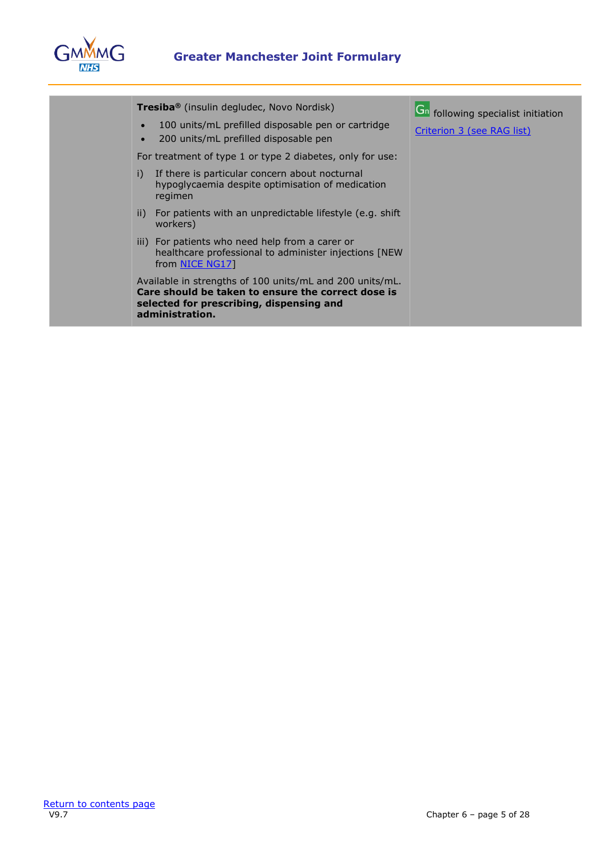

| <b>Tresiba</b> <sup>®</sup> (insulin degludec, Novo Nordisk)                                                                                                                  | Gn following specialist initiation |
|-------------------------------------------------------------------------------------------------------------------------------------------------------------------------------|------------------------------------|
| 100 units/mL prefilled disposable pen or cartridge<br>200 units/mL prefilled disposable pen                                                                                   | Criterion 3 (see RAG list)         |
| For treatment of type 1 or type 2 diabetes, only for use:                                                                                                                     |                                    |
| i)<br>If there is particular concern about nocturnal<br>hypoglycaemia despite optimisation of medication<br>regimen                                                           |                                    |
| ii) For patients with an unpredictable lifestyle (e.g. shift<br>workers)                                                                                                      |                                    |
| iii) For patients who need help from a carer or<br>healthcare professional to administer injections [NEW<br>from NICE NG171                                                   |                                    |
| Available in strengths of 100 units/mL and 200 units/mL.<br>Care should be taken to ensure the correct dose is<br>selected for prescribing, dispensing and<br>administration. |                                    |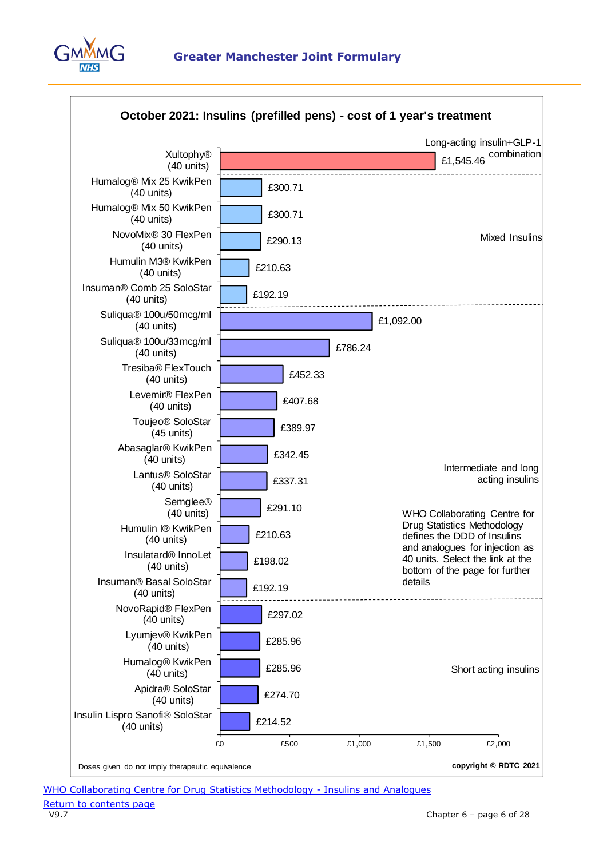

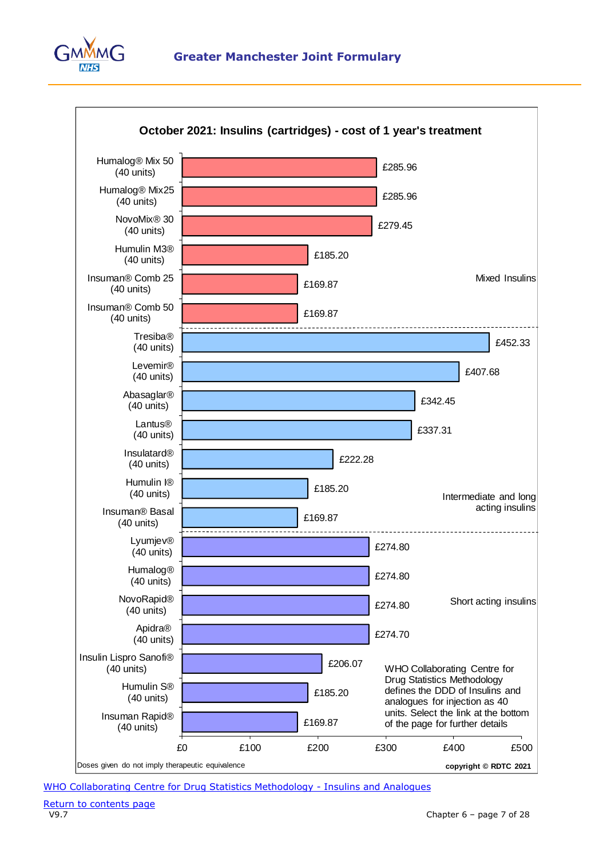



[WHO Collaborating Centre for Drug Statistics Methodology -](https://www.whocc.no/atc_ddd_index/?code=A10A&showdescription=no) Insulins and Analogues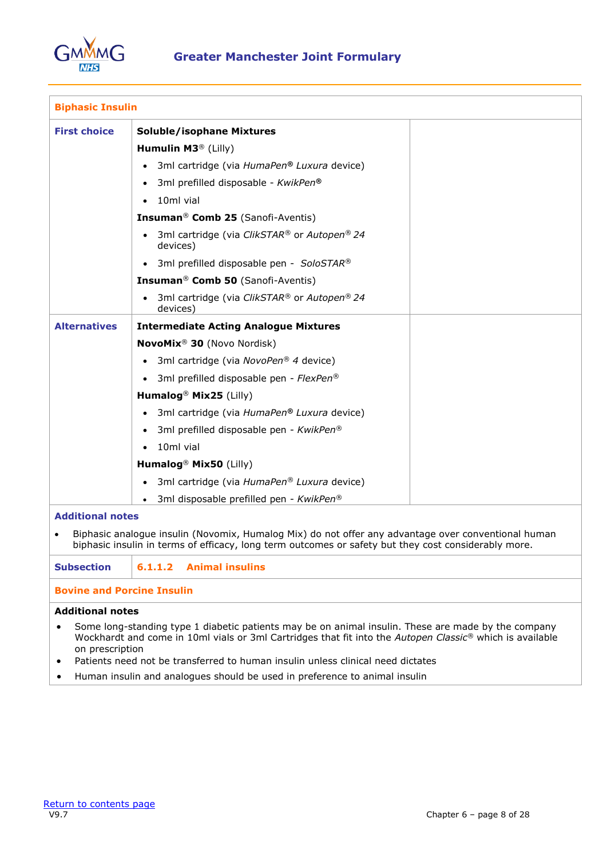

| <b>Biphasic Insulin</b> |                                                                                                     |
|-------------------------|-----------------------------------------------------------------------------------------------------|
| <b>First choice</b>     | <b>Soluble/isophane Mixtures</b>                                                                    |
|                         | Humulin M3 <sup>®</sup> (Lilly)                                                                     |
|                         | 3ml cartridge (via HumaPen® Luxura device)                                                          |
|                         | 3ml prefilled disposable - KwikPen®<br>$\bullet$                                                    |
|                         | 10ml vial                                                                                           |
|                         | Insuman <sup>®</sup> Comb 25 (Sanofi-Aventis)                                                       |
|                         | 3ml cartridge (via ClikSTAR® or Autopen® 24<br>$\bullet$<br>devices)                                |
|                         | 3ml prefilled disposable pen - SoloSTAR®                                                            |
|                         | <b>Insuman<sup>®</sup> Comb 50</b> (Sanofi-Aventis)                                                 |
|                         | 3ml cartridge (via ClikSTAR® or Autopen® 24<br>devices)                                             |
| <b>Alternatives</b>     | <b>Intermediate Acting Analogue Mixtures</b>                                                        |
|                         | NovoMix <sup>®</sup> 30 (Novo Nordisk)                                                              |
|                         | 3ml cartridge (via NovoPen® 4 device)<br>$\bullet$                                                  |
|                         | 3ml prefilled disposable pen - FlexPen®                                                             |
|                         | Humalog <sup>®</sup> Mix25 (Lilly)                                                                  |
|                         | 3ml cartridge (via HumaPen® Luxura device)                                                          |
|                         | 3ml prefilled disposable pen - KwikPen®                                                             |
|                         | 10ml vial                                                                                           |
|                         | Humalog <sup>®</sup> Mix50 (Lilly)                                                                  |
|                         | 3ml cartridge (via HumaPen® Luxura device)<br>$\bullet$                                             |
|                         | 3ml disposable prefilled pen - KwikPen®                                                             |
| <b>Additional notes</b> | Biphasic analogue insulin (Novomix, Humalog Mix) do not offer any advantage over conventional human |

biphasic insulin in terms of efficacy, long term outcomes or safety but they cost considerably more.

**Subsection 6.1.1.2 Animal insulins**

# **Bovine and Porcine Insulin**

- Some long-standing type 1 diabetic patients may be on animal insulin. These are made by the company Wockhardt and come in 10ml vials or 3ml Cartridges that fit into the *Autopen Classic®* which is available on prescription
- Patients need not be transferred to human insulin unless clinical need dictates
- Human insulin and analogues should be used in preference to animal insulin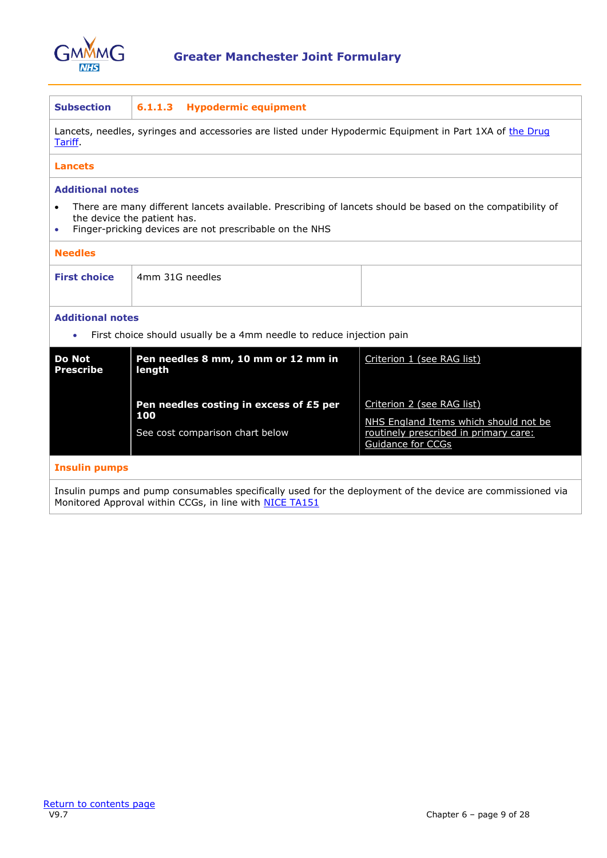

| <b>Subsection</b><br><b>Hypodermic equipment</b><br>6.1.1.3                                                                                                                                                                    |                                                                                                          |                                                                                                     |  |  |
|--------------------------------------------------------------------------------------------------------------------------------------------------------------------------------------------------------------------------------|----------------------------------------------------------------------------------------------------------|-----------------------------------------------------------------------------------------------------|--|--|
| Tariff.                                                                                                                                                                                                                        | Lancets, needles, syringes and accessories are listed under Hypodermic Equipment in Part 1XA of the Drug |                                                                                                     |  |  |
| <b>Lancets</b>                                                                                                                                                                                                                 |                                                                                                          |                                                                                                     |  |  |
| <b>Additional notes</b>                                                                                                                                                                                                        |                                                                                                          |                                                                                                     |  |  |
| There are many different lancets available. Prescribing of lancets should be based on the compatibility of<br>$\bullet$<br>the device the patient has.<br>Finger-pricking devices are not prescribable on the NHS<br>$\bullet$ |                                                                                                          |                                                                                                     |  |  |
| <b>Needles</b>                                                                                                                                                                                                                 |                                                                                                          |                                                                                                     |  |  |
| <b>First choice</b>                                                                                                                                                                                                            | 4mm 31G needles                                                                                          |                                                                                                     |  |  |
| <b>Additional notes</b><br>First choice should usually be a 4mm needle to reduce injection pain<br>$\bullet$                                                                                                                   |                                                                                                          |                                                                                                     |  |  |
| <b>Do Not</b><br><b>Prescribe</b>                                                                                                                                                                                              | Pen needles 8 mm, 10 mm or 12 mm in<br>length                                                            | Criterion 1 (see RAG list)                                                                          |  |  |
|                                                                                                                                                                                                                                | Pen needles costing in excess of £5 per                                                                  | Criterion 2 (see RAG list)                                                                          |  |  |
|                                                                                                                                                                                                                                | 100<br>See cost comparison chart below                                                                   | NHS England Items which should not be<br>routinely prescribed in primary care:<br>Guidance for CCGs |  |  |
| <b>Insulin pumps</b>                                                                                                                                                                                                           |                                                                                                          |                                                                                                     |  |  |
| Insulin pumps and pump consumables specifically used for the deployment of the device are commissioned via<br>Monitored Approval within CCGs, in line with NICE TA151                                                          |                                                                                                          |                                                                                                     |  |  |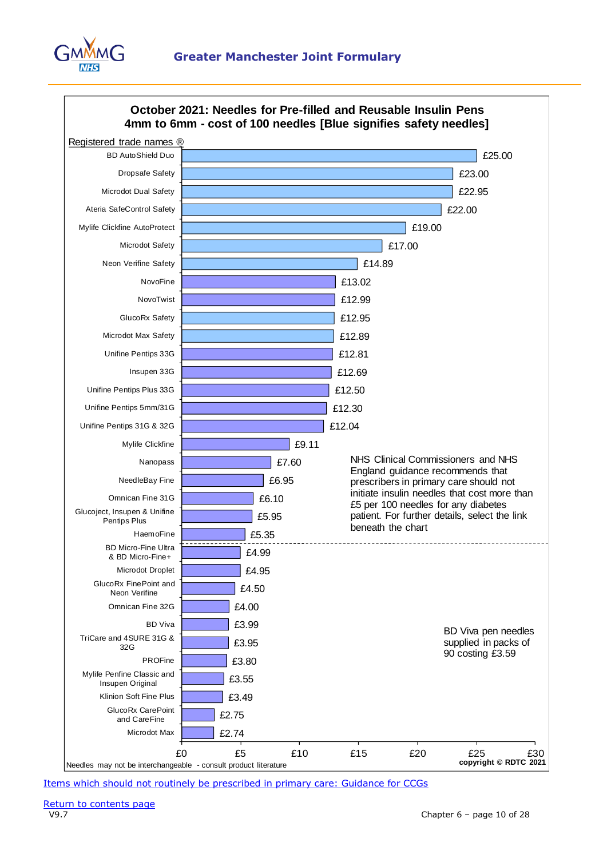



[Items which should not routinely be prescribed in primary care: Guidance for CCGs](https://www.england.nhs.uk/publication/items-which-should-not-be-routinely-prescribed-in-primary-care-guidance-for-ccgs/)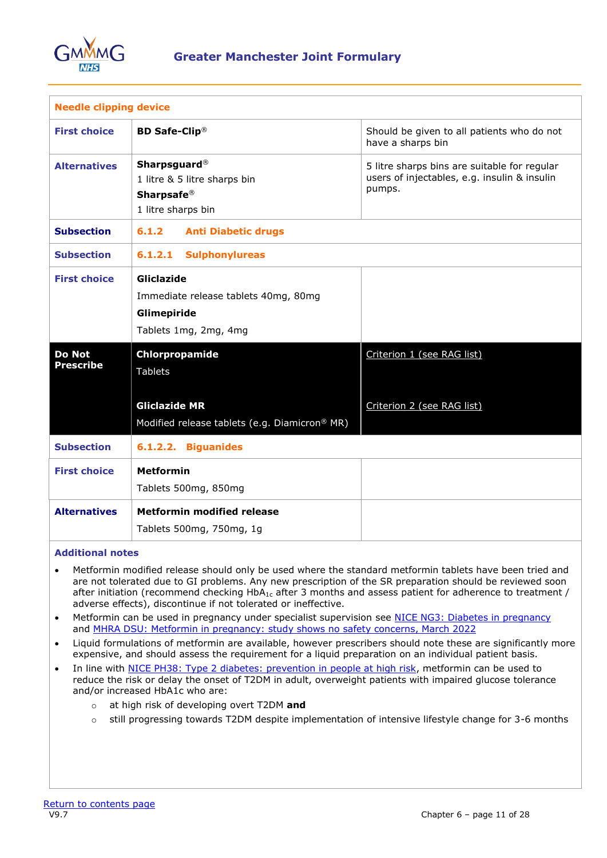

| <b>Needle clipping device</b>     |                                                                                                            |                                                                                                        |
|-----------------------------------|------------------------------------------------------------------------------------------------------------|--------------------------------------------------------------------------------------------------------|
| <b>First choice</b>               | <b>BD Safe-Clip<sup>®</sup></b>                                                                            | Should be given to all patients who do not<br>have a sharps bin                                        |
| <b>Alternatives</b>               | <b>Sharpsguard</b> <sup>®</sup><br>1 litre & 5 litre sharps bin<br><b>Sharpsafe®</b><br>1 litre sharps bin | 5 litre sharps bins are suitable for regular<br>users of injectables, e.g. insulin & insulin<br>pumps. |
| <b>Subsection</b>                 | 6.1.2<br><b>Anti Diabetic drugs</b>                                                                        |                                                                                                        |
| <b>Subsection</b>                 | <b>Sulphonylureas</b><br>6.1.2.1                                                                           |                                                                                                        |
| <b>First choice</b>               | Gliclazide<br>Immediate release tablets 40mg, 80mg<br>Glimepiride<br>Tablets 1mg, 2mg, 4mg                 |                                                                                                        |
| <b>Do Not</b><br><b>Prescribe</b> | Chlorpropamide<br><b>Tablets</b>                                                                           | Criterion 1 (see RAG list)                                                                             |
|                                   | <b>Gliclazide MR</b><br>Modified release tablets (e.g. Diamicron® MR)                                      | Criterion 2 (see RAG list)                                                                             |
| <b>Subsection</b>                 | 6.1.2.2. Biguanides                                                                                        |                                                                                                        |
| <b>First choice</b>               | <b>Metformin</b><br>Tablets 500mg, 850mg                                                                   |                                                                                                        |
| <b>Alternatives</b>               | <b>Metformin modified release</b><br>Tablets 500mg, 750mg, 1g                                              |                                                                                                        |

- Metformin modified release should only be used where the standard metformin tablets have been tried and are not tolerated due to GI problems. Any new prescription of the SR preparation should be reviewed soon after initiation (recommend checking HbA<sub>1c</sub> after 3 months and assess patient for adherence to treatment / adverse effects), discontinue if not tolerated or ineffective.
- Metformin can be used in pregnancy under specialist supervision see [NICE NG3: Diabetes in pregnancy](http://www.nice.org.uk/guidance/ng3) and [MHRA DSU: Metformin in pregnancy: study shows no safety concerns, March 2022](https://www.gov.uk/drug-safety-update/metformin-in-pregnancy-study-shows-no-safety-concerns)
- Liquid formulations of metformin are available, however prescribers should note these are significantly more expensive, and should assess the requirement for a liquid preparation on an individual patient basis.
- In line with [NICE PH38: Type 2 diabetes: prevention in people at high risk,](https://www.nice.org.uk/guidance/ph38) metformin can be used to reduce the risk or delay the onset of T2DM in adult, overweight patients with impaired glucose tolerance and/or increased HbA1c who are:
	- o at high risk of developing overt T2DM **and**
	- o still progressing towards T2DM despite implementation of intensive lifestyle change for 3-6 months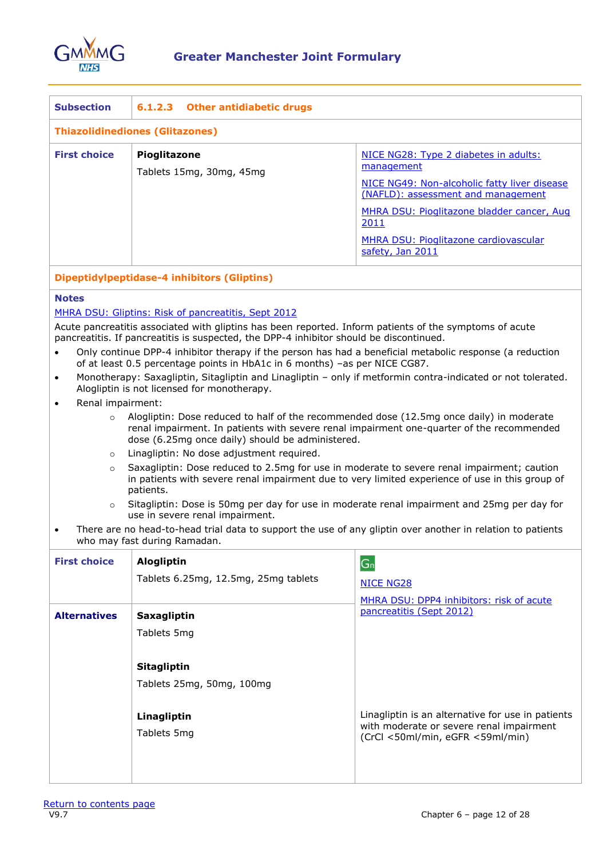

| <b>Subsection</b>                      | 6.1.2.3 Other antidiabetic drugs                |                                                                                                                                                                                                                                                                     |  |
|----------------------------------------|-------------------------------------------------|---------------------------------------------------------------------------------------------------------------------------------------------------------------------------------------------------------------------------------------------------------------------|--|
| <b>Thiazolidinediones (Glitazones)</b> |                                                 |                                                                                                                                                                                                                                                                     |  |
| <b>First choice</b>                    | <b>Pioglitazone</b><br>Tablets 15mg, 30mg, 45mg | NICE NG28: Type 2 diabetes in adults:<br>management<br>NICE NG49: Non-alcoholic fatty liver disease<br>(NAFLD): assessment and management<br>MHRA DSU: Pioglitazone bladder cancer, Aug<br>2011<br><b>MHRA DSU: Pioglitazone cardiovascular</b><br>safety, Jan 2011 |  |

# **Dipeptidylpeptidase-4 inhibitors (Gliptins)**

#### **Notes**

#### [MHRA DSU: Gliptins: Risk of pancreatitis, Sept 2012](http://www.mhra.gov.uk/Safetyinformation/DrugSafetyUpdate/CON185628)

Acute pancreatitis associated with gliptins has been reported. Inform patients of the symptoms of acute pancreatitis. If pancreatitis is suspected, the DPP-4 inhibitor should be discontinued.

- Only continue DPP-4 inhibitor therapy if the person has had a beneficial metabolic response (a reduction of at least 0.5 percentage points in HbA1c in 6 months) –as per NICE CG87.
- Monotherapy: Saxagliptin, Sitagliptin and Linagliptin only if metformin contra-indicated or not tolerated. Alogliptin is not licensed for monotherapy.
- Renal impairment:
	- $\circ$  Alogliptin: Dose reduced to half of the recommended dose (12.5mg once daily) in moderate renal impairment. In patients with severe renal impairment one-quarter of the recommended dose (6.25mg once daily) should be administered.
	- o Linagliptin: No dose adjustment required.
	- o Saxagliptin: Dose reduced to 2.5mg for use in moderate to severe renal impairment; caution in patients with severe renal impairment due to very limited experience of use in this group of patients.
	- o Sitagliptin: Dose is 50mg per day for use in moderate renal impairment and 25mg per day for use in severe renal impairment.
- There are no head-to-head trial data to support the use of any gliptin over another in relation to patients who may fast during Ramadan.

| <b>First choice</b> | Alogliptin<br>Tablets 6.25mg, 12.5mg, 25mg tablets | $G_n$<br><b>NICE NG28</b><br>MHRA DSU: DPP4 inhibitors: risk of acute                                                             |
|---------------------|----------------------------------------------------|-----------------------------------------------------------------------------------------------------------------------------------|
| <b>Alternatives</b> | <b>Saxagliptin</b><br>Tablets 5mg                  | pancreatitis (Sept 2012)                                                                                                          |
|                     | Sitagliptin<br>Tablets 25mg, 50mg, 100mg           |                                                                                                                                   |
|                     | Linagliptin<br>Tablets 5mg                         | Linagliptin is an alternative for use in patients<br>with moderate or severe renal impairment<br>(CrCl <50ml/min, eGFR <59ml/min) |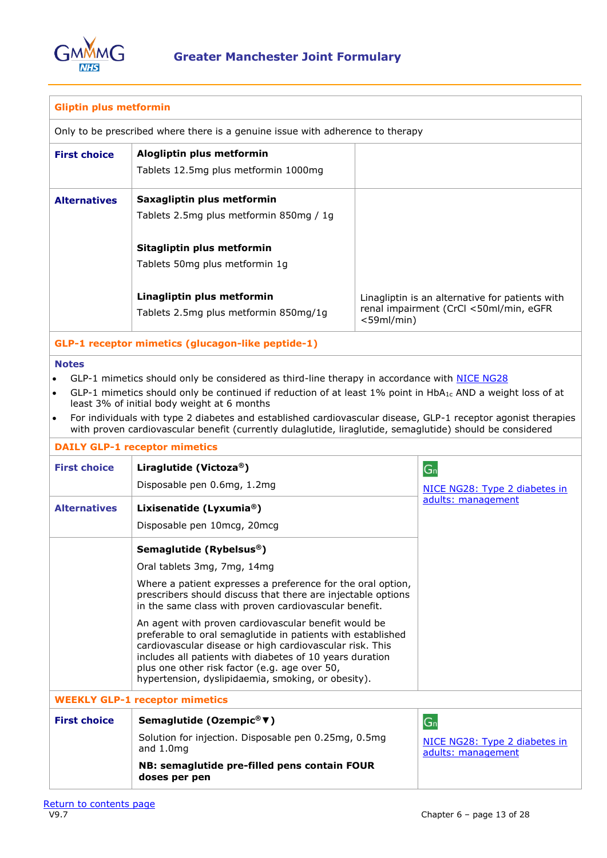

| <b>Gliptin plus metformin</b>                                                                                                                                                                                                                                                                                                                                                                                                                                                                                                                |                                                                                                                                                                                                                                                                                                                                                    |               |                                                     |  |
|----------------------------------------------------------------------------------------------------------------------------------------------------------------------------------------------------------------------------------------------------------------------------------------------------------------------------------------------------------------------------------------------------------------------------------------------------------------------------------------------------------------------------------------------|----------------------------------------------------------------------------------------------------------------------------------------------------------------------------------------------------------------------------------------------------------------------------------------------------------------------------------------------------|---------------|-----------------------------------------------------|--|
|                                                                                                                                                                                                                                                                                                                                                                                                                                                                                                                                              | Only to be prescribed where there is a genuine issue with adherence to therapy                                                                                                                                                                                                                                                                     |               |                                                     |  |
| <b>First choice</b>                                                                                                                                                                                                                                                                                                                                                                                                                                                                                                                          | Alogliptin plus metformin<br>Tablets 12.5mg plus metformin 1000mg                                                                                                                                                                                                                                                                                  |               |                                                     |  |
| <b>Alternatives</b>                                                                                                                                                                                                                                                                                                                                                                                                                                                                                                                          | Saxagliptin plus metformin<br>Tablets 2.5mg plus metformin 850mg / 1g                                                                                                                                                                                                                                                                              |               |                                                     |  |
|                                                                                                                                                                                                                                                                                                                                                                                                                                                                                                                                              | Sitagliptin plus metformin<br>Tablets 50mg plus metformin 1g                                                                                                                                                                                                                                                                                       |               |                                                     |  |
|                                                                                                                                                                                                                                                                                                                                                                                                                                                                                                                                              | Linagliptin plus metformin                                                                                                                                                                                                                                                                                                                         |               | Linagliptin is an alternative for patients with     |  |
|                                                                                                                                                                                                                                                                                                                                                                                                                                                                                                                                              | Tablets 2.5mg plus metformin 850mg/1g                                                                                                                                                                                                                                                                                                              | $<$ 59ml/min) | renal impairment (CrCl <50ml/min, eGFR              |  |
|                                                                                                                                                                                                                                                                                                                                                                                                                                                                                                                                              | GLP-1 receptor mimetics (glucagon-like peptide-1)                                                                                                                                                                                                                                                                                                  |               |                                                     |  |
| <b>Notes</b><br>GLP-1 mimetics should only be considered as third-line therapy in accordance with NICE NG28<br>GLP-1 mimetics should only be continued if reduction of at least 1% point in HbA <sub>1c</sub> AND a weight loss of at<br>$\bullet$<br>least 3% of initial body weight at 6 months<br>For individuals with type 2 diabetes and established cardiovascular disease, GLP-1 receptor agonist therapies<br>$\bullet$<br>with proven cardiovascular benefit (currently dulaglutide, liraglutide, semaglutide) should be considered |                                                                                                                                                                                                                                                                                                                                                    |               |                                                     |  |
|                                                                                                                                                                                                                                                                                                                                                                                                                                                                                                                                              | <b>DAILY GLP-1 receptor mimetics</b>                                                                                                                                                                                                                                                                                                               |               |                                                     |  |
| <b>First choice</b>                                                                                                                                                                                                                                                                                                                                                                                                                                                                                                                          | Liraglutide (Victoza®)                                                                                                                                                                                                                                                                                                                             |               | G <sub>n</sub>                                      |  |
|                                                                                                                                                                                                                                                                                                                                                                                                                                                                                                                                              | Disposable pen 0.6mg, 1.2mg                                                                                                                                                                                                                                                                                                                        |               | NICE NG28: Type 2 diabetes in<br>adults: management |  |
| <b>Alternatives</b>                                                                                                                                                                                                                                                                                                                                                                                                                                                                                                                          | Lixisenatide (Lyxumia®)                                                                                                                                                                                                                                                                                                                            |               |                                                     |  |
|                                                                                                                                                                                                                                                                                                                                                                                                                                                                                                                                              | Disposable pen 10mcg, 20mcg                                                                                                                                                                                                                                                                                                                        |               |                                                     |  |
|                                                                                                                                                                                                                                                                                                                                                                                                                                                                                                                                              | Semaglutide (Rybelsus®)                                                                                                                                                                                                                                                                                                                            |               |                                                     |  |
|                                                                                                                                                                                                                                                                                                                                                                                                                                                                                                                                              | Oral tablets 3mg, 7mg, 14mg                                                                                                                                                                                                                                                                                                                        |               |                                                     |  |
|                                                                                                                                                                                                                                                                                                                                                                                                                                                                                                                                              | Where a patient expresses a preference for the oral option,<br>prescribers should discuss that there are injectable options<br>in the same class with proven cardiovascular benefit.                                                                                                                                                               |               |                                                     |  |
|                                                                                                                                                                                                                                                                                                                                                                                                                                                                                                                                              | An agent with proven cardiovascular benefit would be<br>preferable to oral semaglutide in patients with established<br>cardiovascular disease or high cardiovascular risk. This<br>includes all patients with diabetes of 10 years duration<br>plus one other risk factor (e.g. age over 50,<br>hypertension, dyslipidaemia, smoking, or obesity). |               |                                                     |  |
|                                                                                                                                                                                                                                                                                                                                                                                                                                                                                                                                              | <b>WEEKLY GLP-1 receptor mimetics</b>                                                                                                                                                                                                                                                                                                              |               |                                                     |  |
| <b>First choice</b>                                                                                                                                                                                                                                                                                                                                                                                                                                                                                                                          | Semaglutide (Ozempic® V)                                                                                                                                                                                                                                                                                                                           |               | G <sub>n</sub>                                      |  |
|                                                                                                                                                                                                                                                                                                                                                                                                                                                                                                                                              | Solution for injection. Disposable pen 0.25mg, 0.5mg<br>and $1.0mg$                                                                                                                                                                                                                                                                                |               | NICE NG28: Type 2 diabetes in<br>adults: management |  |
|                                                                                                                                                                                                                                                                                                                                                                                                                                                                                                                                              | NB: semaglutide pre-filled pens contain FOUR<br>doses per pen                                                                                                                                                                                                                                                                                      |               |                                                     |  |
|                                                                                                                                                                                                                                                                                                                                                                                                                                                                                                                                              |                                                                                                                                                                                                                                                                                                                                                    |               |                                                     |  |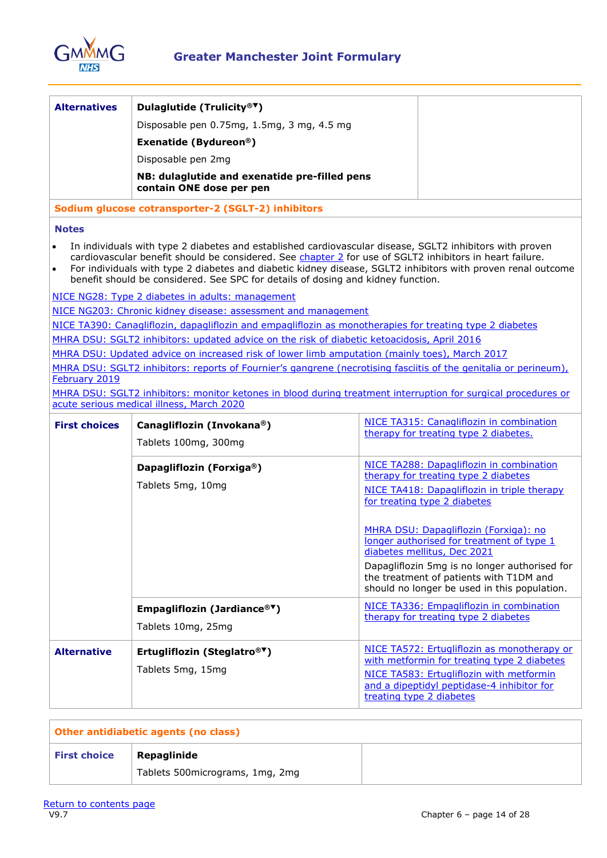

| <b>Alternatives</b>  | Dulaglutide (Trulicity® <sup>▼</sup> )                                                                                                                                                                                                                                                                                                                                                                                   |                                                                                                                                                                                                                                                               |  |  |
|----------------------|--------------------------------------------------------------------------------------------------------------------------------------------------------------------------------------------------------------------------------------------------------------------------------------------------------------------------------------------------------------------------------------------------------------------------|---------------------------------------------------------------------------------------------------------------------------------------------------------------------------------------------------------------------------------------------------------------|--|--|
|                      | Disposable pen 0.75mg, 1.5mg, 3 mg, 4.5 mg                                                                                                                                                                                                                                                                                                                                                                               |                                                                                                                                                                                                                                                               |  |  |
|                      | Exenatide (Bydureon®)                                                                                                                                                                                                                                                                                                                                                                                                    |                                                                                                                                                                                                                                                               |  |  |
|                      | Disposable pen 2mg                                                                                                                                                                                                                                                                                                                                                                                                       |                                                                                                                                                                                                                                                               |  |  |
|                      | NB: dulaglutide and exenatide pre-filled pens<br>contain ONE dose per pen                                                                                                                                                                                                                                                                                                                                                |                                                                                                                                                                                                                                                               |  |  |
|                      | Sodium glucose cotransporter-2 (SGLT-2) inhibitors                                                                                                                                                                                                                                                                                                                                                                       |                                                                                                                                                                                                                                                               |  |  |
| <b>Notes</b>         |                                                                                                                                                                                                                                                                                                                                                                                                                          |                                                                                                                                                                                                                                                               |  |  |
| $\bullet$            | In individuals with type 2 diabetes and established cardiovascular disease, SGLT2 inhibitors with proven<br>cardiovascular benefit should be considered. See chapter 2 for use of SGLT2 inhibitors in heart failure.<br>For individuals with type 2 diabetes and diabetic kidney disease, SGLT2 inhibitors with proven renal outcome<br>benefit should be considered. See SPC for details of dosing and kidney function. |                                                                                                                                                                                                                                                               |  |  |
|                      | NICE NG28: Type 2 diabetes in adults: management                                                                                                                                                                                                                                                                                                                                                                         |                                                                                                                                                                                                                                                               |  |  |
|                      | NICE NG203: Chronic kidney disease: assessment and management                                                                                                                                                                                                                                                                                                                                                            |                                                                                                                                                                                                                                                               |  |  |
|                      | NICE TA390: Canagliflozin, dapagliflozin and empagliflozin as monotherapies for treating type 2 diabetes                                                                                                                                                                                                                                                                                                                 |                                                                                                                                                                                                                                                               |  |  |
|                      | MHRA DSU: SGLT2 inhibitors: updated advice on the risk of diabetic ketoacidosis, April 2016<br>MHRA DSU: Updated advice on increased risk of lower limb amputation (mainly toes), March 2017                                                                                                                                                                                                                             |                                                                                                                                                                                                                                                               |  |  |
|                      | MHRA DSU: SGLT2 inhibitors: reports of Fournier's gangrene (necrotising fasciitis of the genitalia or perineum),                                                                                                                                                                                                                                                                                                         |                                                                                                                                                                                                                                                               |  |  |
| February 2019        |                                                                                                                                                                                                                                                                                                                                                                                                                          |                                                                                                                                                                                                                                                               |  |  |
|                      | MHRA DSU: SGLT2 inhibitors: monitor ketones in blood during treatment interruption for surgical procedures or                                                                                                                                                                                                                                                                                                            |                                                                                                                                                                                                                                                               |  |  |
|                      | acute serious medical illness, March 2020                                                                                                                                                                                                                                                                                                                                                                                |                                                                                                                                                                                                                                                               |  |  |
| <b>First choices</b> | Canagliflozin (Invokana®)                                                                                                                                                                                                                                                                                                                                                                                                | NICE TA315: Canagliflozin in combination<br>therapy for treating type 2 diabetes.                                                                                                                                                                             |  |  |
|                      | Tablets 100mg, 300mg                                                                                                                                                                                                                                                                                                                                                                                                     |                                                                                                                                                                                                                                                               |  |  |
|                      | Dapagliflozin (Forxiga®)                                                                                                                                                                                                                                                                                                                                                                                                 | NICE TA288: Dapagliflozin in combination                                                                                                                                                                                                                      |  |  |
|                      | Tablets 5mg, 10mg                                                                                                                                                                                                                                                                                                                                                                                                        | therapy for treating type 2 diabetes                                                                                                                                                                                                                          |  |  |
|                      |                                                                                                                                                                                                                                                                                                                                                                                                                          | NICE TA418: Dapagliflozin in triple therapy<br>for treating type 2 diabetes                                                                                                                                                                                   |  |  |
|                      |                                                                                                                                                                                                                                                                                                                                                                                                                          | MHRA DSU: Dapagliflozin (Forxiga): no<br>longer authorised for treatment of type 1<br>diabetes mellitus, Dec 2021<br>Dapagliflozin 5mg is no longer authorised for<br>the treatment of patients with T1DM and<br>should no longer be used in this population. |  |  |
|                      | Empagliflozin (Jardiance® <sup>▼</sup> )                                                                                                                                                                                                                                                                                                                                                                                 | NICE TA336: Empagliflozin in combination                                                                                                                                                                                                                      |  |  |
|                      | Tablets 10mg, 25mg                                                                                                                                                                                                                                                                                                                                                                                                       | therapy for treating type 2 diabetes                                                                                                                                                                                                                          |  |  |
| <b>Alternative</b>   | Ertugliflozin (Steglatro® <sup>▼</sup> )<br>Tablets 5mg, 15mg                                                                                                                                                                                                                                                                                                                                                            | NICE TA572: Ertugliflozin as monotherapy or<br>with metformin for treating type 2 diabetes<br>NICE TA583: Ertugliflozin with metformin<br>and a dipeptidyl peptidase-4 inhibitor for<br>treating type 2 diabetes                                              |  |  |
|                      |                                                                                                                                                                                                                                                                                                                                                                                                                          |                                                                                                                                                                                                                                                               |  |  |

| Other antidiabetic agents (no class) |                                  |  |  |
|--------------------------------------|----------------------------------|--|--|
| <b>First choice</b>                  | Repaglinide                      |  |  |
|                                      | Tablets 500 micrograms, 1mg, 2mg |  |  |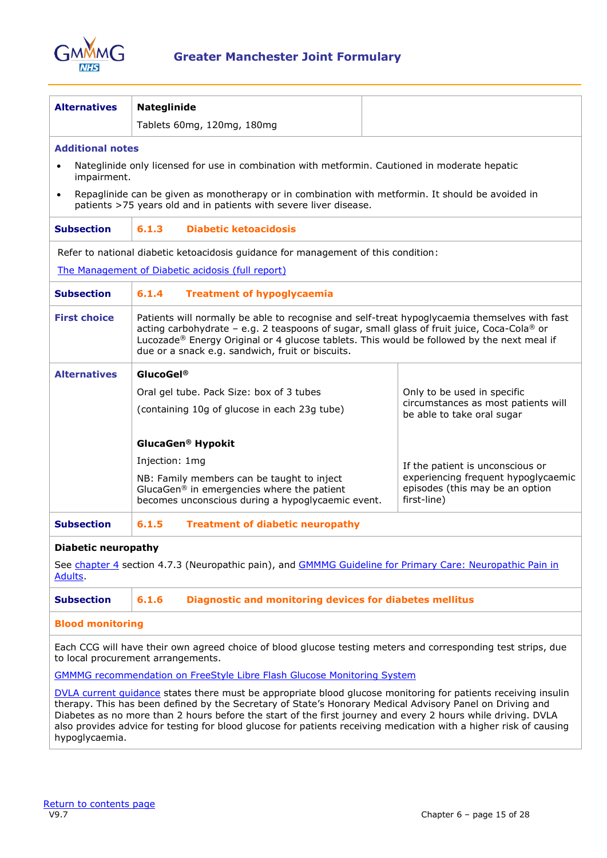

| <b>Alternatives</b>        | Nateglinide                                                                                                                                                                                                                                                                                                                                                                                                                                                       |                                                                                       |  |
|----------------------------|-------------------------------------------------------------------------------------------------------------------------------------------------------------------------------------------------------------------------------------------------------------------------------------------------------------------------------------------------------------------------------------------------------------------------------------------------------------------|---------------------------------------------------------------------------------------|--|
|                            | Tablets 60mg, 120mg, 180mg                                                                                                                                                                                                                                                                                                                                                                                                                                        |                                                                                       |  |
| <b>Additional notes</b>    |                                                                                                                                                                                                                                                                                                                                                                                                                                                                   |                                                                                       |  |
| impairment.                | Nateglinide only licensed for use in combination with metformin. Cautioned in moderate hepatic                                                                                                                                                                                                                                                                                                                                                                    |                                                                                       |  |
| $\bullet$                  | Repaglinide can be given as monotherapy or in combination with metformin. It should be avoided in<br>patients >75 years old and in patients with severe liver disease.                                                                                                                                                                                                                                                                                            |                                                                                       |  |
| <b>Subsection</b>          | <b>Diabetic ketoacidosis</b><br>6.1.3                                                                                                                                                                                                                                                                                                                                                                                                                             |                                                                                       |  |
|                            | Refer to national diabetic ketoacidosis guidance for management of this condition:                                                                                                                                                                                                                                                                                                                                                                                |                                                                                       |  |
|                            | The Management of Diabetic acidosis (full report)                                                                                                                                                                                                                                                                                                                                                                                                                 |                                                                                       |  |
| <b>Subsection</b>          | 6.1.4<br><b>Treatment of hypoglycaemia</b>                                                                                                                                                                                                                                                                                                                                                                                                                        |                                                                                       |  |
| <b>First choice</b>        | Patients will normally be able to recognise and self-treat hypoglycaemia themselves with fast<br>acting carbohydrate - e.g. 2 teaspoons of sugar, small glass of fruit juice, Coca-Cola <sup>®</sup> or<br>Lucozade® Energy Original or 4 glucose tablets. This would be followed by the next meal if<br>due or a snack e.g. sandwich, fruit or biscuits.                                                                                                         |                                                                                       |  |
| <b>Alternatives</b>        | GlucoGel <sup>®</sup>                                                                                                                                                                                                                                                                                                                                                                                                                                             |                                                                                       |  |
|                            | Oral gel tube. Pack Size: box of 3 tubes                                                                                                                                                                                                                                                                                                                                                                                                                          | Only to be used in specific                                                           |  |
|                            | (containing 10g of glucose in each 23g tube)                                                                                                                                                                                                                                                                                                                                                                                                                      | circumstances as most patients will<br>be able to take oral sugar                     |  |
|                            | GlucaGen <sup>®</sup> Hypokit                                                                                                                                                                                                                                                                                                                                                                                                                                     |                                                                                       |  |
|                            | Injection: 1mg                                                                                                                                                                                                                                                                                                                                                                                                                                                    | If the patient is unconscious or                                                      |  |
|                            | NB: Family members can be taught to inject<br>GlucaGen® in emergencies where the patient<br>becomes unconscious during a hypoglycaemic event.                                                                                                                                                                                                                                                                                                                     | experiencing frequent hypoglycaemic<br>episodes (this may be an option<br>first-line) |  |
| <b>Subsection</b>          | 6.1.5<br><b>Treatment of diabetic neuropathy</b>                                                                                                                                                                                                                                                                                                                                                                                                                  |                                                                                       |  |
| <b>Diabetic neuropathy</b> |                                                                                                                                                                                                                                                                                                                                                                                                                                                                   |                                                                                       |  |
| <b>Adults</b>              | See chapter 4 section 4.7.3 (Neuropathic pain), and GMMMG Guideline for Primary Care: Neuropathic Pain in                                                                                                                                                                                                                                                                                                                                                         |                                                                                       |  |
| <b>Subsection</b>          | 6.1.6<br><b>Diagnostic and monitoring devices for diabetes mellitus</b>                                                                                                                                                                                                                                                                                                                                                                                           |                                                                                       |  |
| <b>Blood monitoring</b>    |                                                                                                                                                                                                                                                                                                                                                                                                                                                                   |                                                                                       |  |
|                            | Each CCG will have their own agreed choice of blood glucose testing meters and corresponding test strips, due<br>to local procurement arrangements.                                                                                                                                                                                                                                                                                                               |                                                                                       |  |
|                            | <b>GMMMG recommendation on FreeStyle Libre Flash Glucose Monitoring System</b>                                                                                                                                                                                                                                                                                                                                                                                    |                                                                                       |  |
| hypoglycaemia.             | DVLA current quidance states there must be appropriate blood glucose monitoring for patients receiving insulin<br>therapy. This has been defined by the Secretary of State's Honorary Medical Advisory Panel on Driving and<br>Diabetes as no more than 2 hours before the start of the first journey and every 2 hours while driving. DVLA<br>also provides advice for testing for blood glucose for patients receiving medication with a higher risk of causing |                                                                                       |  |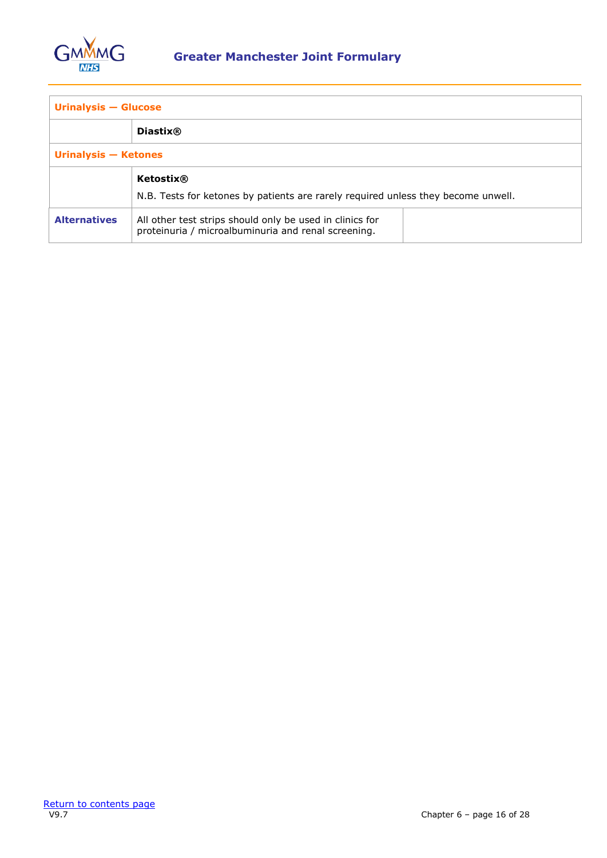

| <b>Urinalysis - Glucose</b> |                                                                                                                 |  |
|-----------------------------|-----------------------------------------------------------------------------------------------------------------|--|
|                             | <b>Diastix®</b>                                                                                                 |  |
| Urinalysis - Ketones        |                                                                                                                 |  |
|                             | Ketostix®<br>N.B. Tests for ketones by patients are rarely required unless they become unwell.                  |  |
| <b>Alternatives</b>         | All other test strips should only be used in clinics for<br>proteinuria / microalbuminuria and renal screening. |  |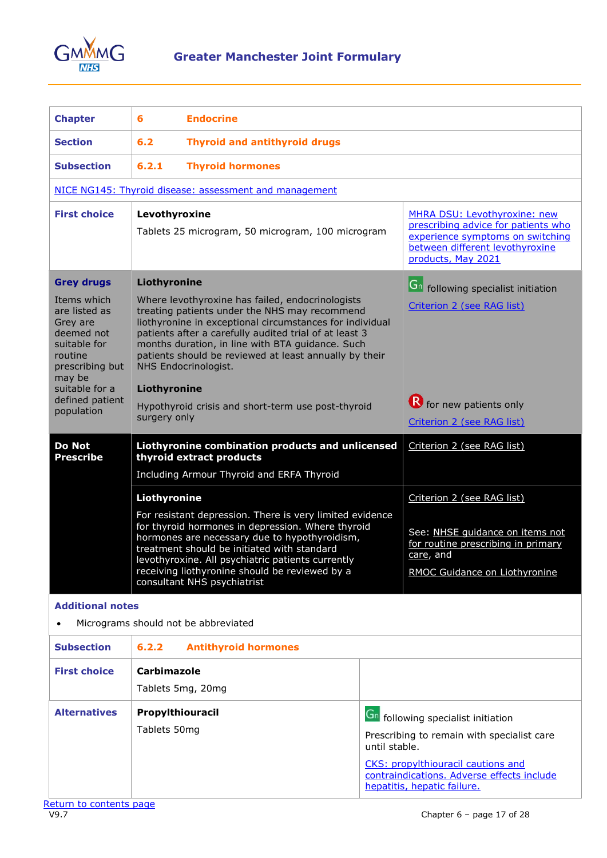

<span id="page-16-0"></span>

| <b>Chapter</b>                                                                                                                                                                                                                                                                                                                                                                                                                                                                                                    | 6<br><b>Endocrine</b>                                                                                                     |                                                                                                                                                                                                                                                                                                                                                     |                                |                                                                                                                                                                  |
|-------------------------------------------------------------------------------------------------------------------------------------------------------------------------------------------------------------------------------------------------------------------------------------------------------------------------------------------------------------------------------------------------------------------------------------------------------------------------------------------------------------------|---------------------------------------------------------------------------------------------------------------------------|-----------------------------------------------------------------------------------------------------------------------------------------------------------------------------------------------------------------------------------------------------------------------------------------------------------------------------------------------------|--------------------------------|------------------------------------------------------------------------------------------------------------------------------------------------------------------|
| <b>Section</b>                                                                                                                                                                                                                                                                                                                                                                                                                                                                                                    | 6.2<br><b>Thyroid and antithyroid drugs</b>                                                                               |                                                                                                                                                                                                                                                                                                                                                     |                                |                                                                                                                                                                  |
| <b>Subsection</b>                                                                                                                                                                                                                                                                                                                                                                                                                                                                                                 | 6.2.1<br><b>Thyroid hormones</b>                                                                                          |                                                                                                                                                                                                                                                                                                                                                     |                                |                                                                                                                                                                  |
|                                                                                                                                                                                                                                                                                                                                                                                                                                                                                                                   |                                                                                                                           | NICE NG145: Thyroid disease: assessment and management                                                                                                                                                                                                                                                                                              |                                |                                                                                                                                                                  |
| <b>First choice</b>                                                                                                                                                                                                                                                                                                                                                                                                                                                                                               |                                                                                                                           | Levothyroxine<br>Tablets 25 microgram, 50 microgram, 100 microgram                                                                                                                                                                                                                                                                                  |                                | MHRA DSU: Levothyroxine: new<br>prescribing advice for patients who<br>experience symptoms on switching<br>between different levothyroxine<br>products, May 2021 |
| <b>Grey drugs</b>                                                                                                                                                                                                                                                                                                                                                                                                                                                                                                 | Liothyronine                                                                                                              |                                                                                                                                                                                                                                                                                                                                                     |                                | Gn following specialist initiation                                                                                                                               |
| Items which<br>Where levothyroxine has failed, endocrinologists<br>treating patients under the NHS may recommend<br>are listed as<br>liothyronine in exceptional circumstances for individual<br>Grey are<br>patients after a carefully audited trial of at least 3<br>deemed not<br>months duration, in line with BTA guidance. Such<br>suitable for<br>patients should be reviewed at least annually by their<br>routine<br>NHS Endocrinologist.<br>prescribing but<br>may be<br>suitable for a<br>Liothyronine |                                                                                                                           |                                                                                                                                                                                                                                                                                                                                                     | Criterion 2 (see RAG list)     |                                                                                                                                                                  |
| defined patient<br>population                                                                                                                                                                                                                                                                                                                                                                                                                                                                                     | Hypothyroid crisis and short-term use post-thyroid                                                                        |                                                                                                                                                                                                                                                                                                                                                     | <b>R</b> for new patients only |                                                                                                                                                                  |
|                                                                                                                                                                                                                                                                                                                                                                                                                                                                                                                   | surgery only                                                                                                              |                                                                                                                                                                                                                                                                                                                                                     | Criterion 2 (see RAG list)     |                                                                                                                                                                  |
| <b>Do Not</b><br><b>Prescribe</b>                                                                                                                                                                                                                                                                                                                                                                                                                                                                                 | Liothyronine combination products and unlicensed<br>thyroid extract products<br>Including Armour Thyroid and ERFA Thyroid |                                                                                                                                                                                                                                                                                                                                                     | Criterion 2 (see RAG list)     |                                                                                                                                                                  |
|                                                                                                                                                                                                                                                                                                                                                                                                                                                                                                                   | Liothyronine                                                                                                              |                                                                                                                                                                                                                                                                                                                                                     | Criterion 2 (see RAG list)     |                                                                                                                                                                  |
|                                                                                                                                                                                                                                                                                                                                                                                                                                                                                                                   |                                                                                                                           | For resistant depression. There is very limited evidence<br>for thyroid hormones in depression. Where thyroid<br>hormones are necessary due to hypothyroidism,<br>treatment should be initiated with standard<br>levothyroxine. All psychiatric patients currently<br>receiving liothyronine should be reviewed by a<br>consultant NHS psychiatrist |                                |                                                                                                                                                                  |
|                                                                                                                                                                                                                                                                                                                                                                                                                                                                                                                   |                                                                                                                           |                                                                                                                                                                                                                                                                                                                                                     |                                | See: NHSE quidance on items not<br>for routine prescribing in primary<br>care, and<br>RMOC Guidance on Liothyronine                                              |
| <b>Additional notes</b>                                                                                                                                                                                                                                                                                                                                                                                                                                                                                           |                                                                                                                           |                                                                                                                                                                                                                                                                                                                                                     |                                |                                                                                                                                                                  |
|                                                                                                                                                                                                                                                                                                                                                                                                                                                                                                                   |                                                                                                                           | Micrograms should not be abbreviated                                                                                                                                                                                                                                                                                                                |                                |                                                                                                                                                                  |
| <b>Subsection</b>                                                                                                                                                                                                                                                                                                                                                                                                                                                                                                 | 6.2.2                                                                                                                     | <b>Antithyroid hormones</b>                                                                                                                                                                                                                                                                                                                         |                                |                                                                                                                                                                  |
| <b>First choice</b>                                                                                                                                                                                                                                                                                                                                                                                                                                                                                               | Carbimazole                                                                                                               |                                                                                                                                                                                                                                                                                                                                                     |                                |                                                                                                                                                                  |
|                                                                                                                                                                                                                                                                                                                                                                                                                                                                                                                   |                                                                                                                           | Tablets 5mg, 20mg                                                                                                                                                                                                                                                                                                                                   |                                |                                                                                                                                                                  |
| <b>Alternatives</b>                                                                                                                                                                                                                                                                                                                                                                                                                                                                                               |                                                                                                                           | Propylthiouracil                                                                                                                                                                                                                                                                                                                                    |                                |                                                                                                                                                                  |
|                                                                                                                                                                                                                                                                                                                                                                                                                                                                                                                   | Tablets 50mg                                                                                                              |                                                                                                                                                                                                                                                                                                                                                     |                                | <b>Gn</b> following specialist initiation<br>Prescribing to remain with specialist care                                                                          |
|                                                                                                                                                                                                                                                                                                                                                                                                                                                                                                                   |                                                                                                                           |                                                                                                                                                                                                                                                                                                                                                     | until stable.                  | <b>CKS: propylthiouracil cautions and</b>                                                                                                                        |

[contraindications. Adverse effects include](https://cks.nice.org.uk/topics/hyperthyroidism/prescribing-information/propylthiouracil/) 

[hepatitis, hepatic failure.](https://cks.nice.org.uk/topics/hyperthyroidism/prescribing-information/propylthiouracil/)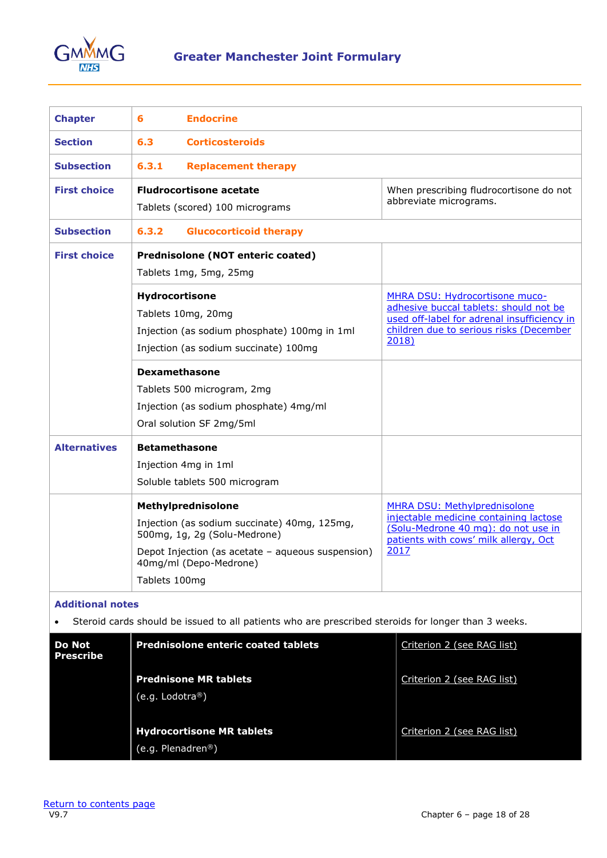

<span id="page-17-0"></span>

| <b>Chapter</b>                                                                                                                | <b>Endocrine</b><br>6                                                                                                                                                                              |                                                                                                                                                                             |  |  |
|-------------------------------------------------------------------------------------------------------------------------------|----------------------------------------------------------------------------------------------------------------------------------------------------------------------------------------------------|-----------------------------------------------------------------------------------------------------------------------------------------------------------------------------|--|--|
| <b>Section</b>                                                                                                                | 6.3<br><b>Corticosteroids</b>                                                                                                                                                                      |                                                                                                                                                                             |  |  |
| <b>Subsection</b>                                                                                                             | 6.3.1<br><b>Replacement therapy</b>                                                                                                                                                                |                                                                                                                                                                             |  |  |
| <b>First choice</b>                                                                                                           | <b>Fludrocortisone acetate</b><br>Tablets (scored) 100 micrograms                                                                                                                                  | When prescribing fludrocortisone do not<br>abbreviate micrograms.                                                                                                           |  |  |
| <b>Subsection</b>                                                                                                             | 6.3.2<br><b>Glucocorticoid therapy</b>                                                                                                                                                             |                                                                                                                                                                             |  |  |
| <b>First choice</b>                                                                                                           | Prednisolone (NOT enteric coated)<br>Tablets 1mg, 5mg, 25mg                                                                                                                                        |                                                                                                                                                                             |  |  |
| Hydrocortisone<br>Tablets 10mg, 20mg<br>Injection (as sodium phosphate) 100mg in 1ml<br>Injection (as sodium succinate) 100mg |                                                                                                                                                                                                    | MHRA DSU: Hydrocortisone muco-<br>adhesive buccal tablets: should not be<br>used off-label for adrenal insufficiency in<br>children due to serious risks (December<br>2018) |  |  |
|                                                                                                                               | <b>Dexamethasone</b><br>Tablets 500 microgram, 2mg<br>Injection (as sodium phosphate) 4mg/ml<br>Oral solution SF 2mg/5ml                                                                           |                                                                                                                                                                             |  |  |
| <b>Alternatives</b>                                                                                                           | <b>Betamethasone</b><br>Injection 4mg in 1ml<br>Soluble tablets 500 microgram                                                                                                                      |                                                                                                                                                                             |  |  |
|                                                                                                                               | Methylprednisolone<br>Injection (as sodium succinate) 40mg, 125mg,<br>500mg, 1g, 2g (Solu-Medrone)<br>Depot Injection (as acetate - aqueous suspension)<br>40mg/ml (Depo-Medrone)<br>Tablets 100mg | MHRA DSU: Methylprednisolone<br>injectable medicine containing lactose<br>(Solu-Medrone 40 mg): do not use in<br>patients with cows' milk allergy, Oct<br>2017              |  |  |

• Steroid cards should be issued to all patients who are prescribed steroids for longer than 3 weeks.

| <b>Do Not</b><br>Prescribe | <b>Prednisolone enteric coated tablets</b>                         | Criterion 2 (see RAG list) |  |
|----------------------------|--------------------------------------------------------------------|----------------------------|--|
|                            | <b>Prednisone MR tablets</b><br>$(e.g.$ Lodotra <sup>®</sup> )     | Criterion 2 (see RAG list) |  |
|                            | <b>Hydrocortisone MR tablets</b><br>(e.g. Plenadren <sup>®</sup> ) | Criterion 2 (see RAG list) |  |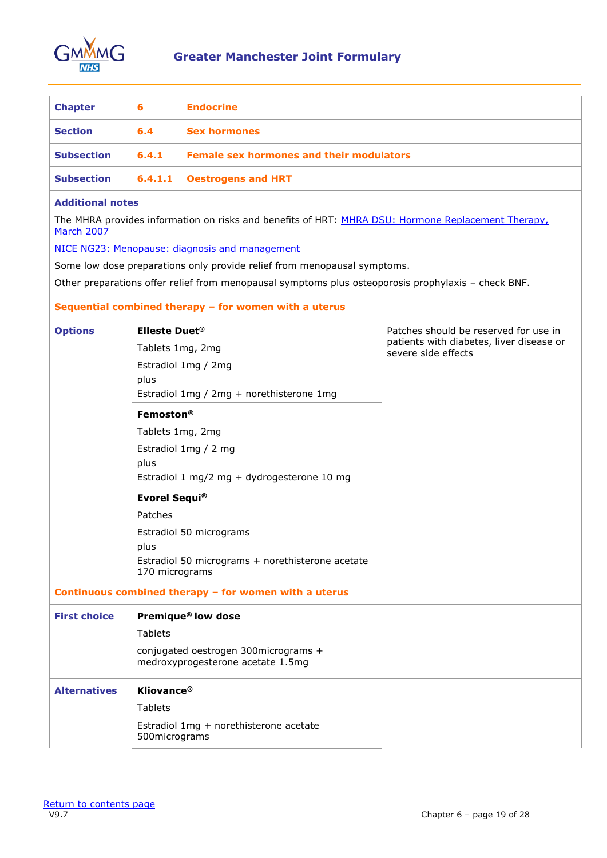

<span id="page-18-0"></span>

| <b>Chapter</b>    | 6     | <b>Endocrine</b>                                |
|-------------------|-------|-------------------------------------------------|
| <b>Section</b>    | 6.4   | <b>Sex hormones</b>                             |
| <b>Subsection</b> | 6.4.1 | <b>Female sex hormones and their modulators</b> |
| <b>Subsection</b> |       | 6.4.1.1 Oestrogens and HRT                      |

The MHRA provides information on risks and benefits of HRT: MHRA DSU: [Hormone Replacement Therapy,](https://www.gov.uk/drug-safety-update/hormone-replacement-therapy-updated-advice) [March 2007](https://www.gov.uk/drug-safety-update/hormone-replacement-therapy-updated-advice)

[NICE NG23: Menopause: diagnosis and management](https://www.nice.org.uk/guidance/ng23)

Some low dose preparations only provide relief from menopausal symptoms.

Other preparations offer relief from menopausal symptoms plus osteoporosis prophylaxis – check BNF.

#### **Sequential combined therapy – for women with a uterus**

| <b>Options</b>      | <b>Elleste Duet<sup>®</sup></b><br>Tablets 1mg, 2mg<br>Estradiol 1mg / 2mg<br>plus<br>Estradiol 1mg / 2mg + norethisterone 1mg | Patches should be reserved for use in<br>patients with diabetes, liver disease or<br>severe side effects |
|---------------------|--------------------------------------------------------------------------------------------------------------------------------|----------------------------------------------------------------------------------------------------------|
|                     | Femoston®<br>Tablets 1mg, 2mg<br>Estradiol 1mg / 2 mg<br>plus<br>Estradiol 1 mg/2 mg + dydrogesterone 10 mg                    |                                                                                                          |
|                     | <b>Evorel Sequi®</b><br>Patches<br>Estradiol 50 micrograms<br>plus<br>Estradiol 50 micrograms + norethisterone acetate         |                                                                                                          |
|                     | 170 micrograms<br>Continuous combined therapy - for women with a uterus                                                        |                                                                                                          |
| <b>First choice</b> | Premique® low dose<br><b>Tablets</b><br>conjugated oestrogen 300micrograms +<br>medroxyprogesterone acetate 1.5mg              |                                                                                                          |
| <b>Alternatives</b> | <b>Kliovance®</b><br><b>Tablets</b><br>Estradiol 1mg + norethisterone acetate<br>500micrograms                                 |                                                                                                          |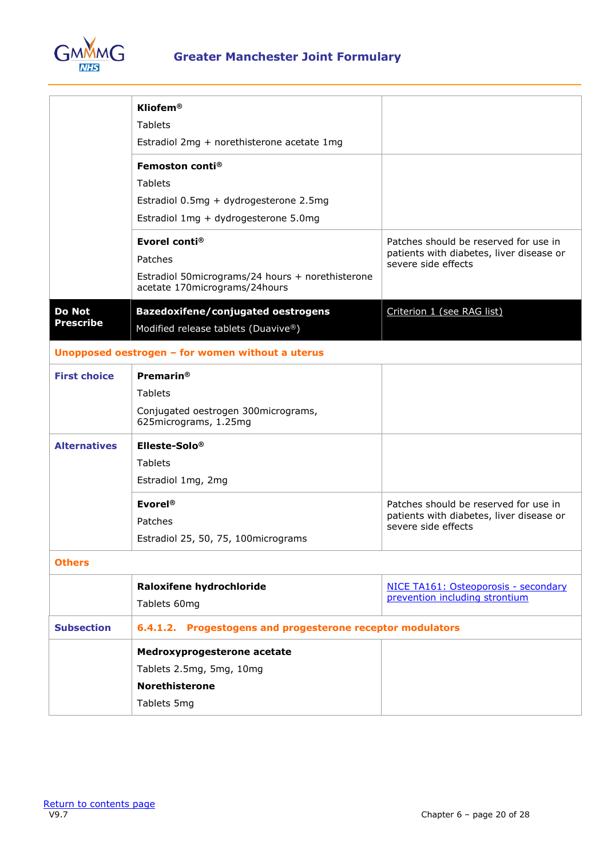

|                                   | Kliofem®                                                                          |                                                                 |
|-----------------------------------|-----------------------------------------------------------------------------------|-----------------------------------------------------------------|
|                                   | <b>Tablets</b>                                                                    |                                                                 |
|                                   | Estradiol 2mg + norethisterone acetate 1mg                                        |                                                                 |
|                                   | Femoston conti <sup>®</sup>                                                       |                                                                 |
|                                   | <b>Tablets</b>                                                                    |                                                                 |
|                                   | Estradiol 0.5mg + dydrogesterone 2.5mg                                            |                                                                 |
|                                   | Estradiol 1mg + dydrogesterone 5.0mg                                              |                                                                 |
|                                   | Evorel conti <sup>®</sup>                                                         | Patches should be reserved for use in                           |
|                                   | Patches                                                                           | patients with diabetes, liver disease or<br>severe side effects |
|                                   | Estradiol 50micrograms/24 hours + norethisterone<br>acetate 170micrograms/24hours |                                                                 |
| <b>Do Not</b><br><b>Prescribe</b> | <b>Bazedoxifene/conjugated oestrogens</b><br>Modified release tablets (Duavive®)  | Criterion 1 (see RAG list)                                      |
|                                   | Unopposed oestrogen - for women without a uterus                                  |                                                                 |
| <b>First choice</b>               | <b>Premarin®</b>                                                                  |                                                                 |
|                                   | <b>Tablets</b>                                                                    |                                                                 |
|                                   | Conjugated oestrogen 300micrograms,<br>625micrograms, 1.25mg                      |                                                                 |
| <b>Alternatives</b>               | Elleste-Solo®                                                                     |                                                                 |
|                                   | <b>Tablets</b>                                                                    |                                                                 |
|                                   | Estradiol 1mg, 2mg                                                                |                                                                 |
|                                   | Evorel®                                                                           | Patches should be reserved for use in                           |
|                                   | Patches                                                                           | patients with diabetes, liver disease or<br>severe side effects |
|                                   | Estradiol 25, 50, 75, 100micrograms                                               |                                                                 |
| <b>Others</b>                     |                                                                                   |                                                                 |
|                                   | Raloxifene hydrochloride                                                          | NICE TA161: Osteoporosis - secondary                            |
|                                   | Tablets 60mg                                                                      | prevention including strontium                                  |
| <b>Subsection</b>                 | Progestogens and progesterone receptor modulators<br>6.4.1.2.                     |                                                                 |
|                                   | Medroxyprogesterone acetate                                                       |                                                                 |
|                                   | Tablets 2.5mg, 5mg, 10mg                                                          |                                                                 |
|                                   | <b>Norethisterone</b>                                                             |                                                                 |
|                                   | Tablets 5mg                                                                       |                                                                 |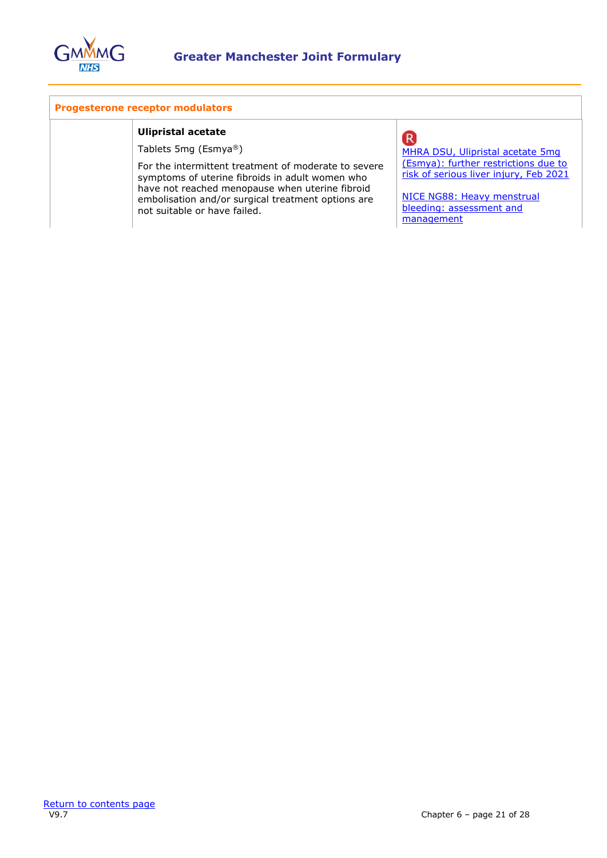

#### **Progesterone receptor modulators**

#### **Ulipristal acetate**

Tablets 5mg (Esmya®)

For the intermittent treatment of moderate to severe symptoms of uterine fibroids in adult women who have not reached menopause when uterine fibroid embolisation and/or surgical treatment options are not suitable or have failed.

# **R**

[MHRA DSU, Ulipristal acetate 5mg](https://www.gov.uk/drug-safety-update/ulipristal-acetate-5mg-esmya-further-restrictions-due-to-risk-of-serious-liver-injury)  [\(Esmya\): further restrictions due to](https://www.gov.uk/drug-safety-update/ulipristal-acetate-5mg-esmya-further-restrictions-due-to-risk-of-serious-liver-injury)  [risk of serious liver injury, Feb 2021](https://www.gov.uk/drug-safety-update/ulipristal-acetate-5mg-esmya-further-restrictions-due-to-risk-of-serious-liver-injury)

[NICE NG88: Heavy menstrual](https://www.nice.org.uk/guidance/ng88)  [bleeding: assessment and](https://www.nice.org.uk/guidance/ng88)  [management](https://www.nice.org.uk/guidance/ng88)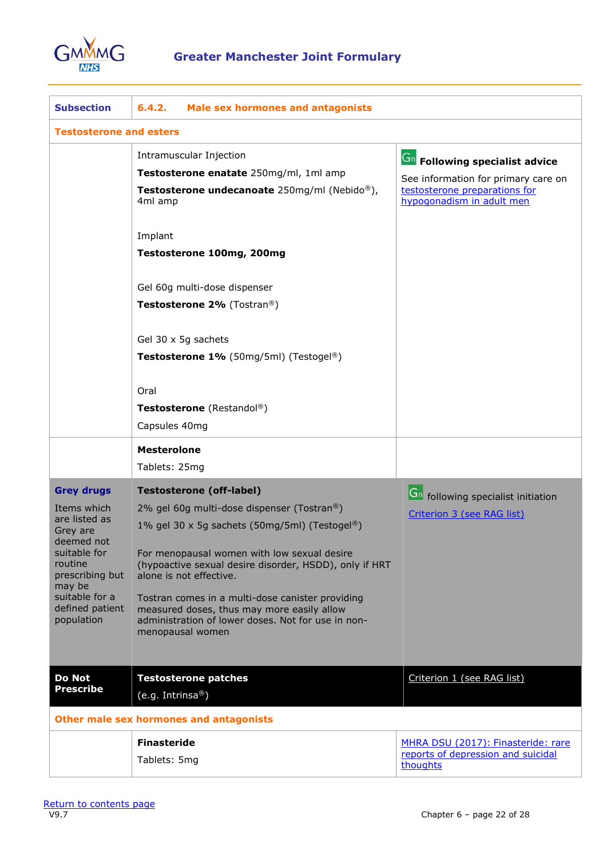

| <b>Subsection</b>                                                                                                                                                                      | 6.4.2.<br><b>Male sex hormones and antagonists</b>                                                                                                                                                                                                                                                                                                                                                                                             |                                                                                                                                            |  |  |
|----------------------------------------------------------------------------------------------------------------------------------------------------------------------------------------|------------------------------------------------------------------------------------------------------------------------------------------------------------------------------------------------------------------------------------------------------------------------------------------------------------------------------------------------------------------------------------------------------------------------------------------------|--------------------------------------------------------------------------------------------------------------------------------------------|--|--|
| <b>Testosterone and esters</b>                                                                                                                                                         |                                                                                                                                                                                                                                                                                                                                                                                                                                                |                                                                                                                                            |  |  |
|                                                                                                                                                                                        | Intramuscular Injection<br>Testosterone enatate 250mg/ml, 1ml amp<br>Testosterone undecanoate 250mg/ml (Nebido®),<br>4ml amp                                                                                                                                                                                                                                                                                                                   | <b>Gn</b> Following specialist advice<br>See information for primary care on<br>testosterone preparations for<br>hypogonadism in adult men |  |  |
|                                                                                                                                                                                        | Implant<br>Testosterone 100mg, 200mg                                                                                                                                                                                                                                                                                                                                                                                                           |                                                                                                                                            |  |  |
|                                                                                                                                                                                        | Gel 60g multi-dose dispenser<br>Testosterone 2% (Tostran®)                                                                                                                                                                                                                                                                                                                                                                                     |                                                                                                                                            |  |  |
|                                                                                                                                                                                        | Gel 30 x 5g sachets<br>Testosterone 1% (50mg/5ml) (Testogel®)                                                                                                                                                                                                                                                                                                                                                                                  |                                                                                                                                            |  |  |
|                                                                                                                                                                                        | Oral<br><b>Testosterone</b> (Restandol®)<br>Capsules 40mg                                                                                                                                                                                                                                                                                                                                                                                      |                                                                                                                                            |  |  |
|                                                                                                                                                                                        | <b>Mesterolone</b><br>Tablets: 25mg                                                                                                                                                                                                                                                                                                                                                                                                            |                                                                                                                                            |  |  |
| <b>Grey drugs</b><br>Items which<br>are listed as<br>Grey are<br>deemed not<br>suitable for<br>routine<br>prescribing but<br>may be<br>suitable for a<br>defined patient<br>population | <b>Testosterone (off-label)</b><br>2% gel 60g multi-dose dispenser (Tostran®)<br>1% gel 30 x 5g sachets (50mg/5ml) (Testogel®)<br>For menopausal women with low sexual desire<br>(hypoactive sexual desire disorder, HSDD), only if HRT<br>alone is not effective.<br>Tostran comes in a multi-dose canister providing<br>measured doses, thus may more easily allow<br>administration of lower doses. Not for use in non-<br>menopausal women | <b>Gn</b> following specialist initiation<br>Criterion 3 (see RAG list)                                                                    |  |  |
| <b>Do Not</b><br><b>Prescribe</b>                                                                                                                                                      | <b>Testosterone patches</b><br>(e.g. Intrinsa®)                                                                                                                                                                                                                                                                                                                                                                                                | Criterion 1 (see RAG list)                                                                                                                 |  |  |
|                                                                                                                                                                                        | Other male sex hormones and antagonists                                                                                                                                                                                                                                                                                                                                                                                                        |                                                                                                                                            |  |  |
|                                                                                                                                                                                        | <b>Finasteride</b><br>Tablets: 5mg                                                                                                                                                                                                                                                                                                                                                                                                             | MHRA DSU (2017): Finasteride: rare<br>reports of depression and suicidal<br>thoughts                                                       |  |  |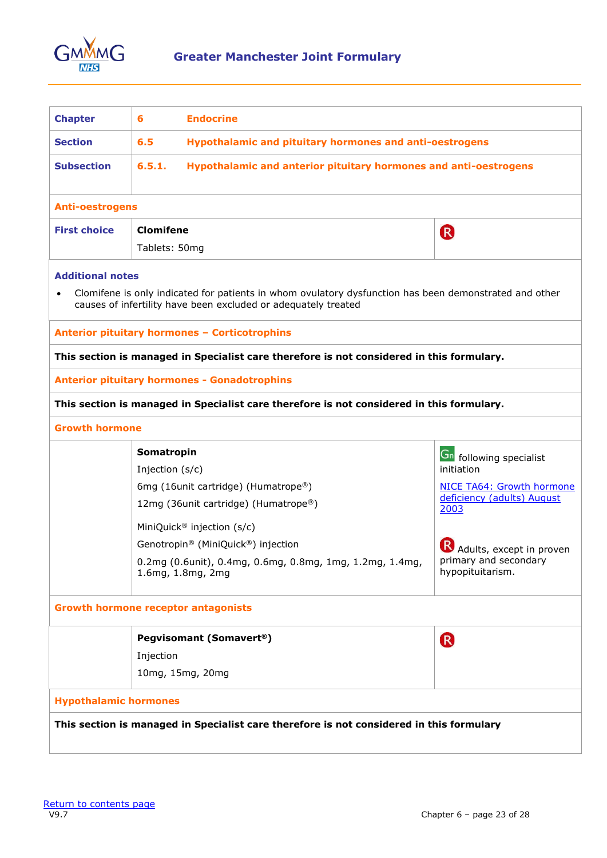

<span id="page-22-0"></span>

| <b>Chapter</b>                             | 6                                                                                                                          | <b>Endocrine</b>                                                                                                                                                         |                                    |  |
|--------------------------------------------|----------------------------------------------------------------------------------------------------------------------------|--------------------------------------------------------------------------------------------------------------------------------------------------------------------------|------------------------------------|--|
| <b>Section</b>                             | <b>Hypothalamic and pituitary hormones and anti-oestrogens</b><br>6.5                                                      |                                                                                                                                                                          |                                    |  |
| <b>Subsection</b>                          | 6.5.1.<br>Hypothalamic and anterior pituitary hormones and anti-oestrogens                                                 |                                                                                                                                                                          |                                    |  |
| <b>Anti-oestrogens</b>                     |                                                                                                                            |                                                                                                                                                                          |                                    |  |
| <b>First choice</b>                        | <b>Clomifene</b>                                                                                                           |                                                                                                                                                                          | R                                  |  |
|                                            | Tablets: 50mg                                                                                                              |                                                                                                                                                                          |                                    |  |
| <b>Additional notes</b><br>$\bullet$       |                                                                                                                            | Clomifene is only indicated for patients in whom ovulatory dysfunction has been demonstrated and other<br>causes of infertility have been excluded or adequately treated |                                    |  |
|                                            |                                                                                                                            | Anterior pituitary hormones - Corticotrophins                                                                                                                            |                                    |  |
|                                            |                                                                                                                            | This section is managed in Specialist care therefore is not considered in this formulary.                                                                                |                                    |  |
|                                            |                                                                                                                            | <b>Anterior pituitary hormones - Gonadotrophins</b>                                                                                                                      |                                    |  |
|                                            |                                                                                                                            | This section is managed in Specialist care therefore is not considered in this formulary.                                                                                |                                    |  |
| <b>Growth hormone</b>                      |                                                                                                                            |                                                                                                                                                                          |                                    |  |
|                                            | Somatropin                                                                                                                 |                                                                                                                                                                          | <b>Gn</b> following specialist     |  |
|                                            | Injection (s/c)                                                                                                            |                                                                                                                                                                          | initiation                         |  |
|                                            |                                                                                                                            | 6mg (16unit cartridge) (Humatrope®)                                                                                                                                      | NICE TA64: Growth hormone          |  |
|                                            |                                                                                                                            | 12mg (36unit cartridge) (Humatrope®)                                                                                                                                     | deficiency (adults) August<br>2003 |  |
|                                            |                                                                                                                            | MiniQuick® injection (s/c)                                                                                                                                               |                                    |  |
|                                            |                                                                                                                            | Genotropin® (MiniQuick®) injection                                                                                                                                       | Adults, except in proven           |  |
|                                            | primary and secondary<br>0.2mg (0.6unit), 0.4mg, 0.6mg, 0.8mg, 1mg, 1.2mg, 1.4mg,<br>hypopituitarism.<br>1.6mg, 1.8mg, 2mg |                                                                                                                                                                          |                                    |  |
| <b>Growth hormone receptor antagonists</b> |                                                                                                                            |                                                                                                                                                                          |                                    |  |
|                                            |                                                                                                                            | <b>Pegvisomant (Somavert®)</b>                                                                                                                                           | <sup>R</sup>                       |  |
|                                            | Injection                                                                                                                  |                                                                                                                                                                          |                                    |  |
|                                            |                                                                                                                            | 10mg, 15mg, 20mg                                                                                                                                                         |                                    |  |
| <b>Hypothalamic hormones</b>               |                                                                                                                            |                                                                                                                                                                          |                                    |  |
|                                            |                                                                                                                            | This section is managed in Specialist care therefore is not considered in this formulary                                                                                 |                                    |  |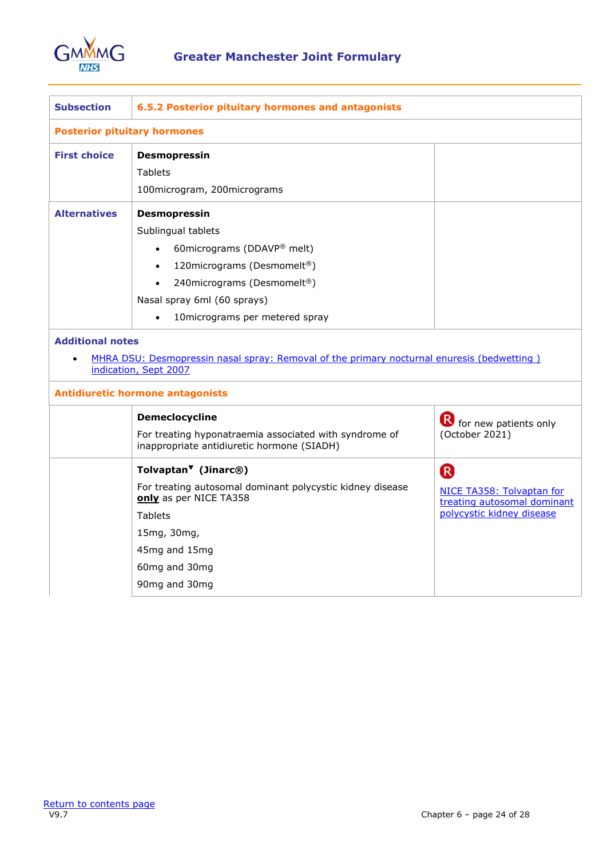

| <b>Subsection</b>       | 6.5.2 Posterior pituitary hormones and antagonists                                                                                                                                                                                                     |                                                                                                         |  |
|-------------------------|--------------------------------------------------------------------------------------------------------------------------------------------------------------------------------------------------------------------------------------------------------|---------------------------------------------------------------------------------------------------------|--|
|                         | <b>Posterior pituitary hormones</b>                                                                                                                                                                                                                    |                                                                                                         |  |
| <b>First choice</b>     | <b>Desmopressin</b><br><b>Tablets</b>                                                                                                                                                                                                                  |                                                                                                         |  |
|                         | 100microgram, 200micrograms                                                                                                                                                                                                                            |                                                                                                         |  |
| <b>Alternatives</b>     | <b>Desmopressin</b><br>Sublingual tablets<br>60 micrograms (DDAVP® melt)<br>120 micrograms (Desmomelt®)<br>$\bullet$<br>240 micrograms (Desmomelt®)<br>$\bullet$<br>Nasal spray 6ml (60 sprays)<br>10 micrograms per metered spray<br>$\bullet$        |                                                                                                         |  |
| <b>Additional notes</b> | MHRA DSU: Desmopressin nasal spray: Removal of the primary nocturnal enuresis (bedwetting)<br>indication, Sept 2007                                                                                                                                    |                                                                                                         |  |
|                         | <b>Antidiuretic hormone antagonists</b>                                                                                                                                                                                                                |                                                                                                         |  |
|                         | <b>Demeclocycline</b><br>For treating hyponatraemia associated with syndrome of<br>inappropriate antidiuretic hormone (SIADH)                                                                                                                          | <b>B</b> for new patients only<br>(October 2021)                                                        |  |
|                         | Tolvaptan <sup><math>\blacktriangledown</math></sup> (Jinarc <sup>®</sup> )<br>For treating autosomal dominant polycystic kidney disease<br>only as per NICE TA358<br><b>Tablets</b><br>15mg, 30mg,<br>45mg and 15mg<br>60mg and 30mg<br>90mg and 30mg | R <sup>1</sup><br>NICE TA358: Tolvaptan for<br>treating autosomal dominant<br>polycystic kidney disease |  |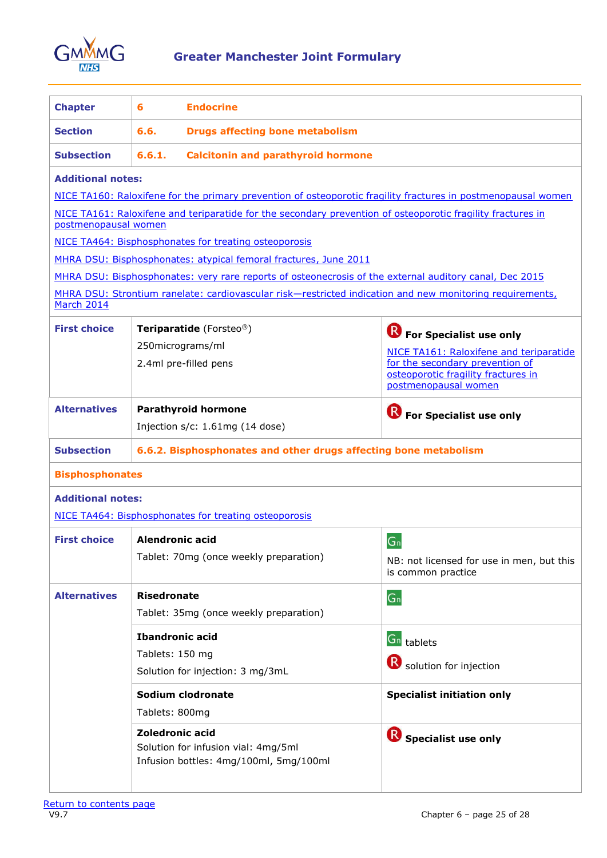

<span id="page-24-0"></span>

| <b>Chapter</b>           | 6                                                                | <b>Endocrine</b>                                                                                                                                                                                                   |                                                                                                                                                                             |
|--------------------------|------------------------------------------------------------------|--------------------------------------------------------------------------------------------------------------------------------------------------------------------------------------------------------------------|-----------------------------------------------------------------------------------------------------------------------------------------------------------------------------|
| <b>Section</b>           | 6.6.<br><b>Drugs affecting bone metabolism</b>                   |                                                                                                                                                                                                                    |                                                                                                                                                                             |
| <b>Subsection</b>        | 6.6.1.                                                           | <b>Calcitonin and parathyroid hormone</b>                                                                                                                                                                          |                                                                                                                                                                             |
| <b>Additional notes:</b> |                                                                  | NICE TA160: Raloxifene for the primary prevention of osteoporotic fragility fractures in postmenopausal women                                                                                                      |                                                                                                                                                                             |
| postmenopausal women     |                                                                  | NICE TA161: Raloxifene and teriparatide for the secondary prevention of osteoporotic fragility fractures in                                                                                                        |                                                                                                                                                                             |
|                          |                                                                  | NICE TA464: Bisphosphonates for treating osteoporosis                                                                                                                                                              |                                                                                                                                                                             |
|                          |                                                                  | MHRA DSU: Bisphosphonates: atypical femoral fractures, June 2011                                                                                                                                                   |                                                                                                                                                                             |
| March 2014               |                                                                  | MHRA DSU: Bisphosphonates: very rare reports of osteonecrosis of the external auditory canal, Dec 2015<br>MHRA DSU: Strontium ranelate: cardiovascular risk-restricted indication and new monitoring requirements, |                                                                                                                                                                             |
| <b>First choice</b>      |                                                                  | Teriparatide (Forsteo®)<br>250micrograms/ml<br>2.4ml pre-filled pens                                                                                                                                               | (R)<br>For Specialist use only<br>NICE TA161: Raloxifene and teriparatide<br>for the secondary prevention of<br>osteoporotic fragility fractures in<br>postmenopausal women |
| <b>Alternatives</b>      |                                                                  | <b>Parathyroid hormone</b><br>Injection $s/c$ : 1.61mg (14 dose)                                                                                                                                                   | For Specialist use only                                                                                                                                                     |
| <b>Subsection</b>        | 6.6.2. Bisphosphonates and other drugs affecting bone metabolism |                                                                                                                                                                                                                    |                                                                                                                                                                             |
| <b>Bisphosphonates</b>   |                                                                  |                                                                                                                                                                                                                    |                                                                                                                                                                             |
| <b>Additional notes:</b> |                                                                  |                                                                                                                                                                                                                    |                                                                                                                                                                             |
|                          |                                                                  | NICE TA464: Bisphosphonates for treating osteoporosis                                                                                                                                                              |                                                                                                                                                                             |
| <b>First choice</b>      | Alendronic acid                                                  | Tablet: 70mg (once weekly preparation)                                                                                                                                                                             | G <sub>n</sub><br>NB: not licensed for use in men, but this<br>is common practice                                                                                           |
| <b>Alternatives</b>      | <b>Risedronate</b>                                               | Tablet: 35mg (once weekly preparation)                                                                                                                                                                             | G <sub>n</sub>                                                                                                                                                              |
|                          | <b>Ibandronic acid</b><br>Tablets: 150 mg                        | Solution for injection: 3 mg/3mL                                                                                                                                                                                   | $Gn$ tablets<br>Solution for injection                                                                                                                                      |
|                          | Tablets: 800mg                                                   | Sodium clodronate                                                                                                                                                                                                  | <b>Specialist initiation only</b>                                                                                                                                           |
|                          | <b>Zoledronic acid</b>                                           | Solution for infusion vial: 4mg/5ml<br>Infusion bottles: 4mg/100ml, 5mg/100ml                                                                                                                                      | (R)<br>Specialist use only                                                                                                                                                  |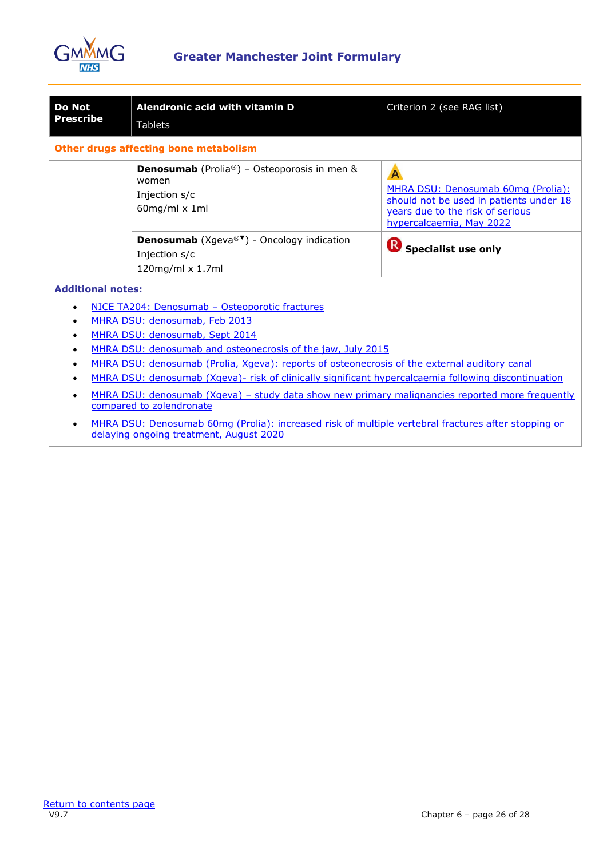

| <b>Do Not</b><br><b>Prescribe</b>                                                                                           | Alendronic acid with vitamin D<br><b>Tablets</b>                                                                                 | Criterion 2 (see RAG list)                                                                                                                         |  |
|-----------------------------------------------------------------------------------------------------------------------------|----------------------------------------------------------------------------------------------------------------------------------|----------------------------------------------------------------------------------------------------------------------------------------------------|--|
|                                                                                                                             | Other drugs affecting bone metabolism                                                                                            |                                                                                                                                                    |  |
|                                                                                                                             | <b>Denosumab</b> (Prolia®) - Osteoporosis in men &<br>women<br>Injection s/c<br>$60$ mg/ml x 1ml                                 | A<br>MHRA DSU: Denosumab 60mg (Prolia):<br>should not be used in patients under 18<br>years due to the risk of serious<br>hypercalcaemia, May 2022 |  |
|                                                                                                                             | <b>Denosumab</b> (Xgeva® <sup><math>\blacktriangledown</math></sup> ) - Oncology indication<br>Injection s/c<br>120mg/ml x 1.7ml | $\left( \mathsf{R}\right)$<br><b>Specialist use only</b>                                                                                           |  |
| <b>Additional notes:</b>                                                                                                    |                                                                                                                                  |                                                                                                                                                    |  |
| NICE TA204: Denosumab - Osteoporotic fractures<br>$\bullet$                                                                 |                                                                                                                                  |                                                                                                                                                    |  |
| MHRA DSU: denosumab, Feb 2013                                                                                               |                                                                                                                                  |                                                                                                                                                    |  |
| MHRA DSU: denosumab, Sept 2014                                                                                              |                                                                                                                                  |                                                                                                                                                    |  |
| MHRA DSU: denosumab and osteonecrosis of the jaw, July 2015                                                                 |                                                                                                                                  |                                                                                                                                                    |  |
| MHRA DSU: denosumab (Prolia, Xgeva): reports of osteonecrosis of the external auditory canal                                |                                                                                                                                  |                                                                                                                                                    |  |
| MHRA DSU: denosumab (Xgeva)- risk of clinically significant hypercalcaemia following discontinuation                        |                                                                                                                                  |                                                                                                                                                    |  |
| MHRA DSU: denosumab (Xgeva) - study data show new primary malignancies reported more frequently<br>compared to zolendronate |                                                                                                                                  |                                                                                                                                                    |  |
|                                                                                                                             | • MHRA DSU: Denosumab 60mg (Prolia): increased risk of multiple vertebral fractures after stopping or                            |                                                                                                                                                    |  |

• MHRA DSU: Denosumab 60mg (Prolia): increased risk of multiple vertebral fractures after stopping or [delaying ongoing treatment, August 2020](https://www.gov.uk/drug-safety-update/denosumab-60mg-prolia-increased-risk-of-multiple-vertebral-fractures-after-stopping-or-delaying-ongoing-treatment)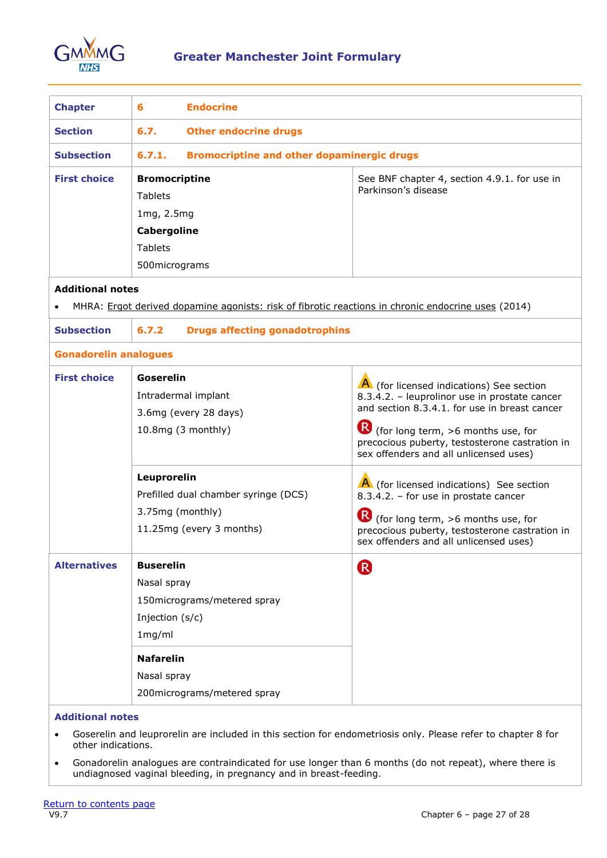

<span id="page-26-0"></span>

| <b>Chapter</b>                                                                                                  | 6                    | <b>Endocrine</b>                                  |                                              |  |
|-----------------------------------------------------------------------------------------------------------------|----------------------|---------------------------------------------------|----------------------------------------------|--|
|                                                                                                                 |                      |                                                   |                                              |  |
| <b>Section</b>                                                                                                  | 6.7.                 | <b>Other endocrine drugs</b>                      |                                              |  |
| <b>Subsection</b>                                                                                               | 6.7.1.               | <b>Bromocriptine and other dopaminergic drugs</b> |                                              |  |
| <b>First choice</b>                                                                                             | <b>Bromocriptine</b> |                                                   | See BNF chapter 4, section 4.9.1. for use in |  |
| <b>Tablets</b>                                                                                                  |                      |                                                   | Parkinson's disease                          |  |
|                                                                                                                 | 1mg, 2.5mg           |                                                   |                                              |  |
|                                                                                                                 | Cabergoline          |                                                   |                                              |  |
|                                                                                                                 | <b>Tablets</b>       |                                                   |                                              |  |
|                                                                                                                 | 500 micrograms       |                                                   |                                              |  |
| <b>Additional notes</b>                                                                                         |                      |                                                   |                                              |  |
| MHRA: Ergot derived dopamine agonists: risk of fibrotic reactions in chronic endocrine uses (2014)<br>$\bullet$ |                      |                                                   |                                              |  |
| Culturalism                                                                                                     |                      | C 7.3. Buice officialize expediationalize         |                                              |  |

| <b>Subsection</b>            | 6.7.2<br><b>Drugs affecting gonadotrophins</b>                                                                                                                |                                                                                                                                                                                                                                                                              |
|------------------------------|---------------------------------------------------------------------------------------------------------------------------------------------------------------|------------------------------------------------------------------------------------------------------------------------------------------------------------------------------------------------------------------------------------------------------------------------------|
| <b>Gonadorelin analogues</b> |                                                                                                                                                               |                                                                                                                                                                                                                                                                              |
| <b>First choice</b>          | Goserelin<br>Intradermal implant<br>3.6mg (every 28 days)<br>10.8mg (3 monthly)                                                                               | A (for licensed indications) See section<br>8.3.4.2. - leuprolinor use in prostate cancer<br>and section 8.3.4.1, for use in breast cancer<br>(for long term, >6 months use, for<br>precocious puberty, testosterone castration in<br>sex offenders and all unlicensed uses) |
|                              | Leuprorelin<br>Prefilled dual chamber syringe (DCS)<br>3.75mg (monthly)<br>11.25mg (every 3 months)                                                           | A (for licensed indications) See section<br>8.3.4.2. - for use in prostate cancer<br>(for long term, >6 months use, for<br>precocious puberty, testosterone castration in<br>sex offenders and all unlicensed uses)                                                          |
| <b>Alternatives</b>          | <b>Buserelin</b><br>Nasal spray<br>150micrograms/metered spray<br>Injection (s/c)<br>1mg/ml<br><b>Nafarelin</b><br>Nasal spray<br>200micrograms/metered spray | (R)                                                                                                                                                                                                                                                                          |

- Goserelin and leuprorelin are included in this section for endometriosis only. Please refer to chapter 8 for other indications.
- Gonadorelin analogues are contraindicated for use longer than 6 months (do not repeat), where there is undiagnosed vaginal bleeding, in pregnancy and in breast-feeding.